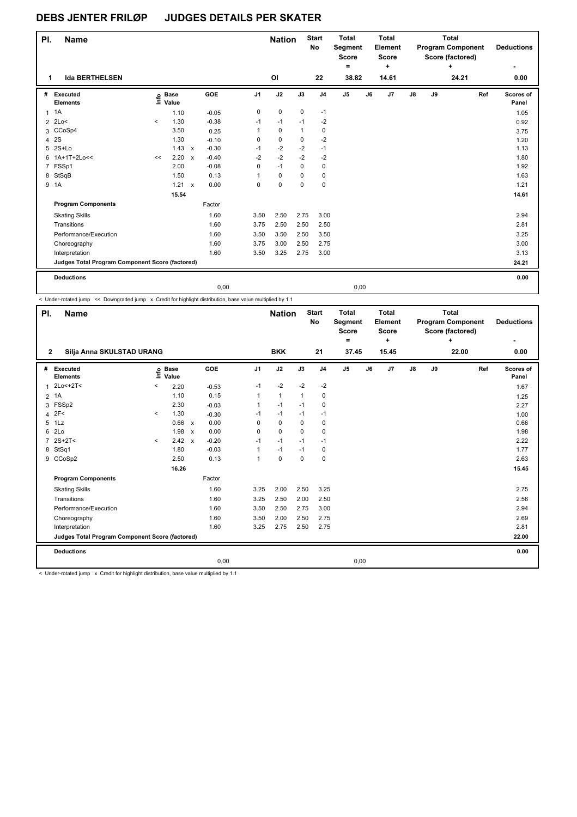| PI. | <b>Name</b>                                     |                          |                      |              |         |                | <b>Nation</b> |              | <b>Start</b><br><b>No</b> | <b>Total</b><br><b>Segment</b><br><b>Score</b><br>۰ |    | Total<br>Element<br>Score<br>+ | Total<br><b>Program Component</b><br>Score (factored)<br>٠<br>24.21 |    |  | <b>Deductions</b><br>۰ |                    |
|-----|-------------------------------------------------|--------------------------|----------------------|--------------|---------|----------------|---------------|--------------|---------------------------|-----------------------------------------------------|----|--------------------------------|---------------------------------------------------------------------|----|--|------------------------|--------------------|
|     | <b>Ida BERTHELSEN</b><br>1                      |                          |                      |              |         |                | OI            |              | 22                        | 38.82                                               |    | 14.61                          |                                                                     |    |  |                        | 0.00               |
| #   | Executed<br><b>Elements</b>                     | ١m                       | <b>Base</b><br>Value |              | GOE     | J <sub>1</sub> | J2            | J3           | J <sub>4</sub>            | J <sub>5</sub>                                      | J6 | J7                             | $\mathsf{J}8$                                                       | J9 |  | Ref                    | Scores of<br>Panel |
| 1   | 1A                                              |                          | 1.10                 |              | $-0.05$ | $\mathbf 0$    | $\mathbf 0$   | 0            | $-1$                      |                                                     |    |                                |                                                                     |    |  |                        | 1.05               |
|     | $2$ 2Lo<                                        | $\overline{\phantom{a}}$ | 1.30                 |              | $-0.38$ | $-1$           | $-1$          | $-1$         | $-2$                      |                                                     |    |                                |                                                                     |    |  |                        | 0.92               |
|     | 3 CCoSp4                                        |                          | 3.50                 |              | 0.25    | $\mathbf{1}$   | $\mathbf 0$   | $\mathbf{1}$ | 0                         |                                                     |    |                                |                                                                     |    |  |                        | 3.75               |
| 4   | 2S                                              |                          | 1.30                 |              | $-0.10$ | 0              | 0             | 0            | $-2$                      |                                                     |    |                                |                                                                     |    |  |                        | 1.20               |
| 5   | $2S+Lo$                                         |                          | 1.43                 | $\mathsf{x}$ | $-0.30$ | $-1$           | $-2$          | $-2$         | $-1$                      |                                                     |    |                                |                                                                     |    |  |                        | 1.13               |
|     | 6 1A+1T+2Lo<<                                   | <<                       | 2.20                 | $\mathbf{x}$ | $-0.40$ | $-2$           | $-2$          | $-2$         | $-2$                      |                                                     |    |                                |                                                                     |    |  |                        | 1.80               |
|     | 7 FSSp1                                         |                          | 2.00                 |              | $-0.08$ | $\Omega$       | $-1$          | $\Omega$     | 0                         |                                                     |    |                                |                                                                     |    |  |                        | 1.92               |
|     | 8 StSqB                                         |                          | 1.50                 |              | 0.13    | 1              | $\Omega$      | 0            | 0                         |                                                     |    |                                |                                                                     |    |  |                        | 1.63               |
| 9   | 1A                                              |                          | 1.21                 | $\mathbf{x}$ | 0.00    | 0              | 0             | 0            | 0                         |                                                     |    |                                |                                                                     |    |  |                        | 1.21               |
|     |                                                 |                          | 15.54                |              |         |                |               |              |                           |                                                     |    |                                |                                                                     |    |  |                        | 14.61              |
|     | <b>Program Components</b>                       |                          |                      |              | Factor  |                |               |              |                           |                                                     |    |                                |                                                                     |    |  |                        |                    |
|     | <b>Skating Skills</b>                           |                          |                      |              | 1.60    | 3.50           | 2.50          | 2.75         | 3.00                      |                                                     |    |                                |                                                                     |    |  |                        | 2.94               |
|     | Transitions                                     |                          |                      |              | 1.60    | 3.75           | 2.50          | 2.50         | 2.50                      |                                                     |    |                                |                                                                     |    |  |                        | 2.81               |
|     | Performance/Execution                           |                          |                      |              | 1.60    | 3.50           | 3.50          | 2.50         | 3.50                      |                                                     |    |                                |                                                                     |    |  |                        | 3.25               |
|     | Choreography                                    |                          |                      |              | 1.60    | 3.75           | 3.00          | 2.50         | 2.75                      |                                                     |    |                                |                                                                     |    |  |                        | 3.00               |
|     | Interpretation                                  |                          |                      |              | 1.60    | 3.50           | 3.25          | 2.75         | 3.00                      |                                                     |    |                                |                                                                     |    |  |                        | 3.13               |
|     | Judges Total Program Component Score (factored) |                          |                      |              |         |                |               |              |                           |                                                     |    |                                |                                                                     |    |  |                        | 24.21              |
|     |                                                 |                          |                      |              |         |                |               |              |                           |                                                     |    |                                |                                                                     |    |  |                        |                    |
|     | <b>Deductions</b>                               |                          |                      |              |         |                |               |              |                           |                                                     |    |                                |                                                                     |    |  |                        | 0.00               |
|     |                                                 |                          |                      |              | 0,00    |                |               |              |                           | 0,00                                                |    |                                |                                                                     |    |  |                        |                    |

< Under-rotated jump << Downgraded jump x Credit for highlight distribution, base value multiplied by 1.1

| PI.            | <b>Name</b>                                     |              |                            |                           |         |                | <b>Nation</b> |             | <b>Start</b><br>No | <b>Total</b><br>Segment<br><b>Score</b><br>÷ |    | <b>Total</b><br>Element<br><b>Score</b><br>٠ |               |    | <b>Total</b><br><b>Program Component</b><br>Score (factored)<br>٠ |     | <b>Deductions</b>  |
|----------------|-------------------------------------------------|--------------|----------------------------|---------------------------|---------|----------------|---------------|-------------|--------------------|----------------------------------------------|----|----------------------------------------------|---------------|----|-------------------------------------------------------------------|-----|--------------------|
| $\mathbf{2}$   | Silja Anna SKULSTAD URANG                       |              |                            |                           |         |                | <b>BKK</b>    |             | 21                 | 37.45                                        |    | 15.45                                        |               |    | 22.00                                                             |     | 0.00               |
| #              | Executed<br><b>Elements</b>                     |              | e Base<br>E Value<br>Value |                           | GOE     | J <sub>1</sub> | J2            | J3          | J <sub>4</sub>     | J5                                           | J6 | J7                                           | $\mathsf{J}8$ | J9 |                                                                   | Ref | Scores of<br>Panel |
| $\mathbf{1}$   | $2Lo < +2T <$                                   | $\,<\,$      | 2.20                       |                           | $-0.53$ | $-1$           | $-2$          | $-2$        | $-2$               |                                              |    |                                              |               |    |                                                                   |     | 1.67               |
| $\overline{2}$ | 1A                                              |              | 1.10                       |                           | 0.15    | $\mathbf{1}$   | $\mathbf{1}$  | 1           | 0                  |                                              |    |                                              |               |    |                                                                   |     | 1.25               |
| 3              | FSSp2                                           |              | 2.30                       |                           | $-0.03$ | $\mathbf{1}$   | $-1$          | $-1$        | 0                  |                                              |    |                                              |               |    |                                                                   |     | 2.27               |
| 4              | 2F<                                             | $\checkmark$ | 1.30                       |                           | $-0.30$ | $-1$           | $-1$          | $-1$        | $-1$               |                                              |    |                                              |               |    |                                                                   |     | 1.00               |
| 5              | 1Lz                                             |              | 0.66                       | $\boldsymbol{\mathsf{x}}$ | 0.00    | 0              | $\mathbf 0$   | $\mathbf 0$ | 0                  |                                              |    |                                              |               |    |                                                                   |     | 0.66               |
| 6              | 2Lo                                             |              | 1.98                       | $\boldsymbol{\mathsf{x}}$ | 0.00    | 0              | $\Omega$      | $\Omega$    | 0                  |                                              |    |                                              |               |    |                                                                   |     | 1.98               |
| 7              | $2S+2T<$                                        | $\prec$      | 2.42                       | $\boldsymbol{\mathsf{x}}$ | $-0.20$ | $-1$           | $-1$          | $-1$        | $-1$               |                                              |    |                                              |               |    |                                                                   |     | 2.22               |
| 8              | StSq1                                           |              | 1.80                       |                           | $-0.03$ | $\mathbf{1}$   | $-1$          | $-1$        | 0                  |                                              |    |                                              |               |    |                                                                   |     | 1.77               |
|                | 9 CCoSp2                                        |              | 2.50                       |                           | 0.13    | $\mathbf{1}$   | $\mathbf 0$   | 0           | $\mathbf 0$        |                                              |    |                                              |               |    |                                                                   |     | 2.63               |
|                |                                                 |              | 16.26                      |                           |         |                |               |             |                    |                                              |    |                                              |               |    |                                                                   |     | 15.45              |
|                | <b>Program Components</b>                       |              |                            |                           | Factor  |                |               |             |                    |                                              |    |                                              |               |    |                                                                   |     |                    |
|                | <b>Skating Skills</b>                           |              |                            |                           | 1.60    | 3.25           | 2.00          | 2.50        | 3.25               |                                              |    |                                              |               |    |                                                                   |     | 2.75               |
|                | Transitions                                     |              |                            |                           | 1.60    | 3.25           | 2.50          | 2.00        | 2.50               |                                              |    |                                              |               |    |                                                                   |     | 2.56               |
|                | Performance/Execution                           |              |                            |                           | 1.60    | 3.50           | 2.50          | 2.75        | 3.00               |                                              |    |                                              |               |    |                                                                   |     | 2.94               |
|                | Choreography                                    |              |                            |                           | 1.60    | 3.50           | 2.00          | 2.50        | 2.75               |                                              |    |                                              |               |    |                                                                   |     | 2.69               |
|                | Interpretation                                  |              |                            |                           | 1.60    | 3.25           | 2.75          | 2.50        | 2.75               |                                              |    |                                              |               |    |                                                                   |     | 2.81               |
|                | Judges Total Program Component Score (factored) |              |                            |                           |         |                |               |             |                    |                                              |    |                                              |               |    |                                                                   |     | 22.00              |
|                | <b>Deductions</b>                               |              |                            |                           |         |                |               |             |                    |                                              |    |                                              |               |    |                                                                   |     | 0.00               |
|                |                                                 |              |                            |                           | 0,00    |                |               |             |                    | 0,00                                         |    |                                              |               |    |                                                                   |     |                    |

< Under-rotated jump x Credit for highlight distribution, base value multiplied by 1.1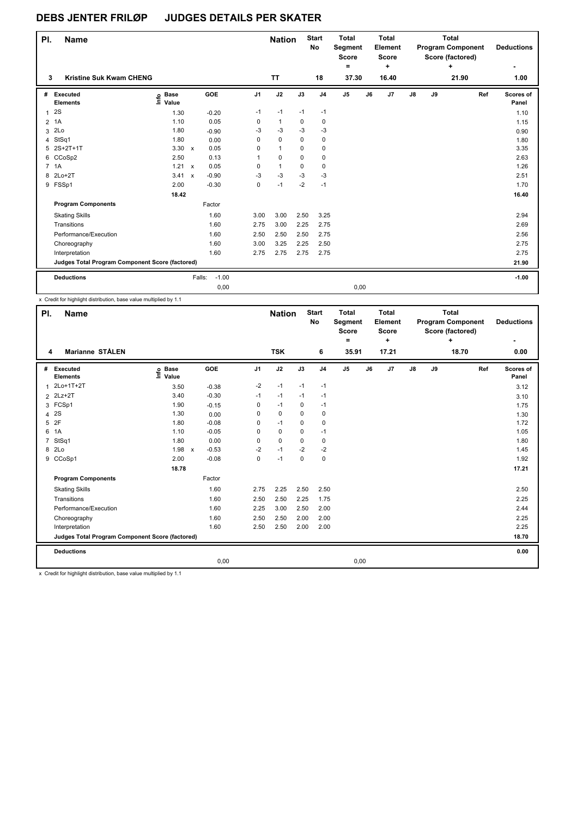| PI.                  | <b>Name</b>                                     |                            |                           |         |                | <b>Nation</b> |             | <b>Start</b><br>No | <b>Total</b><br>Segment<br>Score<br>$=$ |    | <b>Total</b><br>Element<br><b>Score</b><br>÷ |               |    | <b>Total</b><br><b>Program Component</b><br>Score (factored)<br>٠ |     | <b>Deductions</b><br>۰ |
|----------------------|-------------------------------------------------|----------------------------|---------------------------|---------|----------------|---------------|-------------|--------------------|-----------------------------------------|----|----------------------------------------------|---------------|----|-------------------------------------------------------------------|-----|------------------------|
| 3                    | <b>Kristine Suk Kwam CHENG</b>                  |                            |                           |         |                | <b>TT</b>     |             | 18                 | 37.30                                   |    | 16.40                                        |               |    | 21.90                                                             |     | 1.00                   |
| #                    | Executed<br><b>Elements</b>                     | <b>Base</b><br>۴°<br>Value |                           | GOE     | J <sub>1</sub> | J2            | J3          | J <sub>4</sub>     | J <sub>5</sub>                          | J6 | J <sub>7</sub>                               | $\mathsf{J}8$ | J9 |                                                                   | Ref | Scores of<br>Panel     |
| $\blacktriangleleft$ | 2S                                              | 1.30                       |                           | $-0.20$ | $-1$           | $-1$          | $-1$        | $-1$               |                                         |    |                                              |               |    |                                                                   |     | 1.10                   |
| $\overline{2}$       | 1A                                              | 1.10                       |                           | 0.05    | 0              | $\mathbf{1}$  | 0           | 0                  |                                         |    |                                              |               |    |                                                                   |     | 1.15                   |
| 3                    | 2Lo                                             | 1.80                       |                           | $-0.90$ | -3             | $-3$          | $-3$        | $-3$               |                                         |    |                                              |               |    |                                                                   |     | 0.90                   |
|                      | 4 StSq1                                         | 1.80                       |                           | 0.00    | 0              | $\mathbf 0$   | 0           | 0                  |                                         |    |                                              |               |    |                                                                   |     | 1.80                   |
| 5                    | 2S+2T+1T                                        | 3.30                       | $\mathsf{x}$              | 0.05    | 0              | $\mathbf{1}$  | $\mathbf 0$ | 0                  |                                         |    |                                              |               |    |                                                                   |     | 3.35                   |
|                      | 6 CCoSp2                                        | 2.50                       |                           | 0.13    | 1              | $\mathbf 0$   | $\Omega$    | 0                  |                                         |    |                                              |               |    |                                                                   |     | 2.63                   |
|                      | 7 1A                                            | 1.21                       | $\boldsymbol{\mathsf{x}}$ | 0.05    | 0              | $\mathbf{1}$  | $\mathbf 0$ | 0                  |                                         |    |                                              |               |    |                                                                   |     | 1.26                   |
| 8                    | $2Lo+2T$                                        | 3.41                       | $\mathsf{x}$              | $-0.90$ | $-3$           | $-3$          | $-3$        | $-3$               |                                         |    |                                              |               |    |                                                                   |     | 2.51                   |
|                      | 9 FSSp1                                         | 2.00                       |                           | $-0.30$ | 0              | $-1$          | $-2$        | $-1$               |                                         |    |                                              |               |    |                                                                   |     | 1.70                   |
|                      |                                                 | 18.42                      |                           |         |                |               |             |                    |                                         |    |                                              |               |    |                                                                   |     | 16.40                  |
|                      | <b>Program Components</b>                       |                            |                           | Factor  |                |               |             |                    |                                         |    |                                              |               |    |                                                                   |     |                        |
|                      | <b>Skating Skills</b>                           |                            |                           | 1.60    | 3.00           | 3.00          | 2.50        | 3.25               |                                         |    |                                              |               |    |                                                                   |     | 2.94                   |
|                      | Transitions                                     |                            |                           | 1.60    | 2.75           | 3.00          | 2.25        | 2.75               |                                         |    |                                              |               |    |                                                                   |     | 2.69                   |
|                      | Performance/Execution                           |                            |                           | 1.60    | 2.50           | 2.50          | 2.50        | 2.75               |                                         |    |                                              |               |    |                                                                   |     | 2.56                   |
|                      | Choreography                                    |                            |                           | 1.60    | 3.00           | 3.25          | 2.25        | 2.50               |                                         |    |                                              |               |    |                                                                   |     | 2.75                   |
|                      | Interpretation                                  |                            |                           | 1.60    | 2.75           | 2.75          | 2.75        | 2.75               |                                         |    |                                              |               |    |                                                                   |     | 2.75                   |
|                      | Judges Total Program Component Score (factored) |                            |                           |         |                |               |             |                    |                                         |    |                                              |               |    |                                                                   |     | 21.90                  |
|                      | <b>Deductions</b>                               |                            | Falls:                    | $-1.00$ |                |               |             |                    |                                         |    |                                              |               |    |                                                                   |     | $-1.00$                |
|                      |                                                 |                            |                           | 0,00    |                |               |             |                    | 0,00                                    |    |                                              |               |    |                                                                   |     |                        |

x Credit for highlight distribution, base value multiplied by 1.1

| PI.            | <b>Name</b>                                     |                            |                         |                | <b>Nation</b> |             | <b>Start</b><br>No | <b>Total</b><br>Segment<br><b>Score</b><br>Ξ. |    | <b>Total</b><br>Element<br><b>Score</b><br>٠ | <b>Total</b><br><b>Program Component</b><br>Score (factored)<br>٠<br>18.70 |    |     | <b>Deductions</b>  |
|----------------|-------------------------------------------------|----------------------------|-------------------------|----------------|---------------|-------------|--------------------|-----------------------------------------------|----|----------------------------------------------|----------------------------------------------------------------------------|----|-----|--------------------|
| 4              | <b>Marianne STÅLEN</b>                          |                            |                         |                | <b>TSK</b>    |             | 6                  | 35.91                                         |    | 17.21                                        |                                                                            |    |     | 0.00               |
| #              | Executed<br><b>Elements</b>                     | e Base<br>E Value<br>Value | GOE                     | J <sub>1</sub> | J2            | J3          | J <sub>4</sub>     | $\mathsf{J}5$                                 | J6 | J7                                           | $\mathsf{J}8$                                                              | J9 | Ref | Scores of<br>Panel |
| $\mathbf{1}$   | 2Lo+1T+2T                                       | 3.50                       | $-0.38$                 | -2             | $-1$          | $-1$        | $-1$               |                                               |    |                                              |                                                                            |    |     | 3.12               |
|                | 2 2Lz+2T                                        | 3.40                       | $-0.30$                 | $-1$           | $-1$          | $-1$        | $-1$               |                                               |    |                                              |                                                                            |    |     | 3.10               |
| 3              | FCSp1                                           | 1.90                       | $-0.15$                 | $\mathbf 0$    | $-1$          | $\mathbf 0$ | $-1$               |                                               |    |                                              |                                                                            |    |     | 1.75               |
| 4              | 2S                                              | 1.30                       | 0.00                    | 0              | $\mathbf 0$   | $\Omega$    | $\pmb{0}$          |                                               |    |                                              |                                                                            |    |     | 1.30               |
| 5              | 2F                                              | 1.80                       | $-0.08$                 | 0              | $-1$          | 0           | $\pmb{0}$          |                                               |    |                                              |                                                                            |    |     | 1.72               |
| 6              | 1A                                              | 1.10                       | $-0.05$                 | 0              | $\mathbf 0$   | $\Omega$    | $-1$               |                                               |    |                                              |                                                                            |    |     | 1.05               |
| $\overline{7}$ | StSq1                                           | 1.80                       | 0.00                    | 0              | $\mathbf 0$   | $\Omega$    | $\pmb{0}$          |                                               |    |                                              |                                                                            |    |     | 1.80               |
| 8              | 2Lo                                             | 1.98                       | $-0.53$<br>$\pmb{\chi}$ | $-2$           | $-1$          | $-2$        | $-2$               |                                               |    |                                              |                                                                            |    |     | 1.45               |
|                | 9 CCoSp1                                        | 2.00                       | $-0.08$                 | $\mathbf 0$    | $-1$          | $\mathbf 0$ | $\mathbf 0$        |                                               |    |                                              |                                                                            |    |     | 1.92               |
|                |                                                 | 18.78                      |                         |                |               |             |                    |                                               |    |                                              |                                                                            |    |     | 17.21              |
|                | <b>Program Components</b>                       |                            | Factor                  |                |               |             |                    |                                               |    |                                              |                                                                            |    |     |                    |
|                | <b>Skating Skills</b>                           |                            | 1.60                    | 2.75           | 2.25          | 2.50        | 2.50               |                                               |    |                                              |                                                                            |    |     | 2.50               |
|                | Transitions                                     |                            | 1.60                    | 2.50           | 2.50          | 2.25        | 1.75               |                                               |    |                                              |                                                                            |    |     | 2.25               |
|                | Performance/Execution                           |                            | 1.60                    | 2.25           | 3.00          | 2.50        | 2.00               |                                               |    |                                              |                                                                            |    |     | 2.44               |
|                | Choreography                                    |                            | 1.60                    | 2.50           | 2.50          | 2.00        | 2.00               |                                               |    |                                              |                                                                            |    |     | 2.25               |
|                | Interpretation                                  |                            | 1.60                    | 2.50           | 2.50          | 2.00        | 2.00               |                                               |    |                                              |                                                                            |    |     | 2.25               |
|                | Judges Total Program Component Score (factored) |                            |                         |                |               |             |                    |                                               |    |                                              |                                                                            |    |     | 18.70              |
|                | <b>Deductions</b>                               |                            |                         |                |               |             |                    |                                               |    |                                              |                                                                            |    |     | 0.00               |
|                |                                                 |                            | 0,00                    |                |               |             |                    | 0,00                                          |    |                                              |                                                                            |    |     |                    |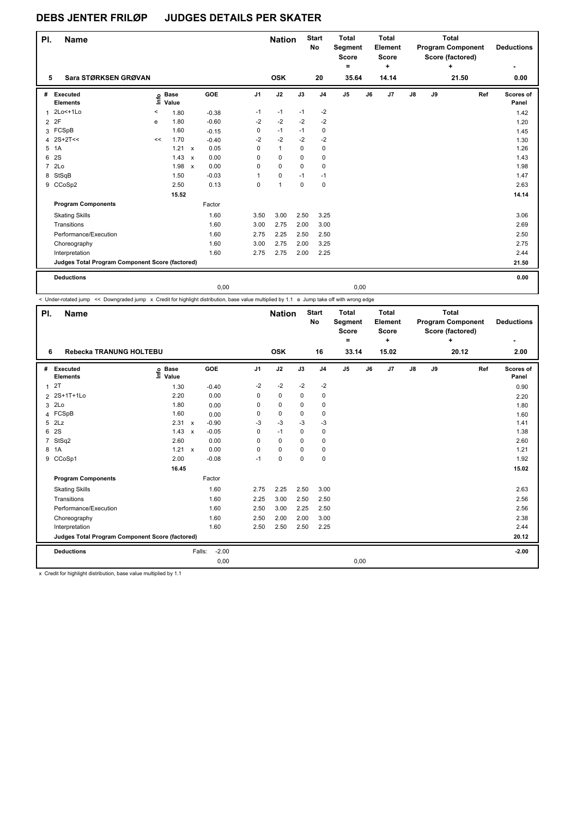| PI.            | <b>Name</b>                                     |         |                      |              |         |                | <b>Nation</b> |             | <b>Start</b><br><b>No</b> | <b>Total</b><br>Segment<br><b>Score</b><br>۰ |    | <b>Total</b><br>Element<br><b>Score</b><br>٠ | <b>Total</b><br><b>Program Component</b><br>Score (factored)<br>٠<br>21.50 |    |  |     | <b>Deductions</b><br>۰ |
|----------------|-------------------------------------------------|---------|----------------------|--------------|---------|----------------|---------------|-------------|---------------------------|----------------------------------------------|----|----------------------------------------------|----------------------------------------------------------------------------|----|--|-----|------------------------|
| 5              | Sara STØRKSEN GRØVAN                            |         |                      |              |         |                | <b>OSK</b>    |             | 20                        | 35.64                                        |    | 14.14                                        |                                                                            |    |  |     | 0.00                   |
| #              | Executed<br><b>Elements</b>                     | ١m      | <b>Base</b><br>Value |              | GOE     | J <sub>1</sub> | J2            | J3          | J <sub>4</sub>            | J5                                           | J6 | J <sub>7</sub>                               | J8                                                                         | J9 |  | Ref | Scores of<br>Panel     |
| $\mathbf{1}$   | 2Lo<+1Lo                                        | $\,<\,$ | 1.80                 |              | $-0.38$ | $-1$           | $-1$          | $-1$        | $-2$                      |                                              |    |                                              |                                                                            |    |  |     | 1.42                   |
| $\overline{2}$ | 2F                                              | e       | 1.80                 |              | $-0.60$ | $-2$           | $-2$          | $-2$        | $-2$                      |                                              |    |                                              |                                                                            |    |  |     | 1.20                   |
|                | 3 FCSpB                                         |         | 1.60                 |              | $-0.15$ | 0              | $-1$          | $-1$        | 0                         |                                              |    |                                              |                                                                            |    |  |     | 1.45                   |
| 4              | $2S+2T<<$                                       | <<      | 1.70                 |              | $-0.40$ | $-2$           | $-2$          | $-2$        | $-2$                      |                                              |    |                                              |                                                                            |    |  |     | 1.30                   |
| 5              | 1A                                              |         | 1.21                 | $\mathsf{x}$ | 0.05    | 0              | $\mathbf{1}$  | $\mathbf 0$ | 0                         |                                              |    |                                              |                                                                            |    |  |     | 1.26                   |
| 6              | 2S                                              |         | 1.43                 | $\mathsf{x}$ | 0.00    | $\Omega$       | $\mathbf 0$   | 0           | 0                         |                                              |    |                                              |                                                                            |    |  |     | 1.43                   |
| $\overline{7}$ | 2Lo                                             |         | 1.98                 | $\mathsf{x}$ | 0.00    | $\Omega$       | $\Omega$      | $\Omega$    | $\Omega$                  |                                              |    |                                              |                                                                            |    |  |     | 1.98                   |
| 8              | StSqB                                           |         | 1.50                 |              | $-0.03$ | 1              | 0             | $-1$        | $-1$                      |                                              |    |                                              |                                                                            |    |  |     | 1.47                   |
|                | 9 CCoSp2                                        |         | 2.50                 |              | 0.13    | $\mathbf 0$    | 1             | $\Omega$    | 0                         |                                              |    |                                              |                                                                            |    |  |     | 2.63                   |
|                |                                                 |         | 15.52                |              |         |                |               |             |                           |                                              |    |                                              |                                                                            |    |  |     | 14.14                  |
|                | <b>Program Components</b>                       |         |                      |              | Factor  |                |               |             |                           |                                              |    |                                              |                                                                            |    |  |     |                        |
|                | <b>Skating Skills</b>                           |         |                      |              | 1.60    | 3.50           | 3.00          | 2.50        | 3.25                      |                                              |    |                                              |                                                                            |    |  |     | 3.06                   |
|                | Transitions                                     |         |                      |              | 1.60    | 3.00           | 2.75          | 2.00        | 3.00                      |                                              |    |                                              |                                                                            |    |  |     | 2.69                   |
|                | Performance/Execution                           |         |                      |              | 1.60    | 2.75           | 2.25          | 2.50        | 2.50                      |                                              |    |                                              |                                                                            |    |  |     | 2.50                   |
|                | Choreography                                    |         |                      |              | 1.60    | 3.00           | 2.75          | 2.00        | 3.25                      |                                              |    |                                              |                                                                            |    |  |     | 2.75                   |
|                | Interpretation                                  |         |                      |              | 1.60    | 2.75           | 2.75          | 2.00        | 2.25                      |                                              |    |                                              |                                                                            |    |  |     | 2.44                   |
|                | Judges Total Program Component Score (factored) |         |                      |              |         |                |               |             |                           |                                              |    |                                              |                                                                            |    |  |     | 21.50                  |
|                | <b>Deductions</b>                               |         |                      |              |         |                |               |             |                           |                                              |    |                                              |                                                                            |    |  |     | 0.00                   |
|                |                                                 |         |                      |              | 0.00    |                |               |             |                           | 0,00                                         |    |                                              |                                                                            |    |  |     |                        |

< Under-rotated jump << Downgraded jump x Credit for highlight distribution, base value multiplied by 1.1 e Jump take off with wrong edge

| PI.            | <b>Name</b>                                     |                   |                           |         |                | <b>Nation</b> |          | <b>Start</b><br>No | <b>Total</b><br>Segment<br><b>Score</b><br>۰ |    | <b>Total</b><br>Element<br><b>Score</b><br>÷ |               |    | <b>Total</b><br><b>Program Component</b><br>Score (factored)<br>÷ |     | <b>Deductions</b>  |
|----------------|-------------------------------------------------|-------------------|---------------------------|---------|----------------|---------------|----------|--------------------|----------------------------------------------|----|----------------------------------------------|---------------|----|-------------------------------------------------------------------|-----|--------------------|
| 6              | Rebecka TRANUNG HOLTEBU                         |                   |                           |         |                | <b>OSK</b>    |          | 16                 | 33.14                                        |    | 15.02                                        |               |    | 20.12                                                             |     | 2.00               |
| #              | Executed<br><b>Elements</b>                     | e Base<br>E Value |                           | GOE     | J <sub>1</sub> | J2            | J3       | J <sub>4</sub>     | J <sub>5</sub>                               | J6 | J <sub>7</sub>                               | $\mathsf{J}8$ | J9 |                                                                   | Ref | Scores of<br>Panel |
| 1              | 2T                                              | 1.30              |                           | $-0.40$ | $-2$           | $-2$          | $-2$     | $-2$               |                                              |    |                                              |               |    |                                                                   |     | 0.90               |
| $\overline{2}$ | 2S+1T+1Lo                                       | 2.20              |                           | 0.00    | 0              | $\mathbf 0$   | 0        | 0                  |                                              |    |                                              |               |    |                                                                   |     | 2.20               |
| 3              | 2Lo                                             | 1.80              |                           | 0.00    | 0              | $\Omega$      | 0        | 0                  |                                              |    |                                              |               |    |                                                                   |     | 1.80               |
|                | 4 FCSpB                                         | 1.60              |                           | 0.00    | 0              | $\mathbf 0$   | 0        | 0                  |                                              |    |                                              |               |    |                                                                   |     | 1.60               |
|                | 5 2Lz                                           | 2.31              | $\mathsf{x}$              | $-0.90$ | $-3$           | $-3$          | $-3$     | $-3$               |                                              |    |                                              |               |    |                                                                   |     | 1.41               |
| 6              | 2S                                              | 1.43              | $\boldsymbol{\mathsf{x}}$ | $-0.05$ | 0              | $-1$          | 0        | 0                  |                                              |    |                                              |               |    |                                                                   |     | 1.38               |
| 7              | StSq2                                           | 2.60              |                           | 0.00    | 0              | $\Omega$      | $\Omega$ | $\Omega$           |                                              |    |                                              |               |    |                                                                   |     | 2.60               |
| 8              | 1A                                              | $1.21 \times$     |                           | 0.00    | 0              | $\Omega$      | 0        | 0                  |                                              |    |                                              |               |    |                                                                   |     | 1.21               |
|                | 9 CCoSp1                                        | 2.00              |                           | $-0.08$ | $-1$           | 0             | 0        | 0                  |                                              |    |                                              |               |    |                                                                   |     | 1.92               |
|                |                                                 | 16.45             |                           |         |                |               |          |                    |                                              |    |                                              |               |    |                                                                   |     | 15.02              |
|                | <b>Program Components</b>                       |                   |                           | Factor  |                |               |          |                    |                                              |    |                                              |               |    |                                                                   |     |                    |
|                | <b>Skating Skills</b>                           |                   |                           | 1.60    | 2.75           | 2.25          | 2.50     | 3.00               |                                              |    |                                              |               |    |                                                                   |     | 2.63               |
|                | Transitions                                     |                   |                           | 1.60    | 2.25           | 3.00          | 2.50     | 2.50               |                                              |    |                                              |               |    |                                                                   |     | 2.56               |
|                | Performance/Execution                           |                   |                           | 1.60    | 2.50           | 3.00          | 2.25     | 2.50               |                                              |    |                                              |               |    |                                                                   |     | 2.56               |
|                | Choreography                                    |                   |                           | 1.60    | 2.50           | 2.00          | 2.00     | 3.00               |                                              |    |                                              |               |    |                                                                   |     | 2.38               |
|                | Interpretation                                  |                   |                           | 1.60    | 2.50           | 2.50          | 2.50     | 2.25               |                                              |    |                                              |               |    |                                                                   |     | 2.44               |
|                | Judges Total Program Component Score (factored) |                   |                           |         |                |               |          |                    |                                              |    |                                              |               |    |                                                                   |     | 20.12              |
|                | <b>Deductions</b>                               |                   | Falls:                    | $-2.00$ |                |               |          |                    |                                              |    |                                              |               |    |                                                                   |     | $-2.00$            |
|                |                                                 |                   |                           | 0,00    |                |               |          |                    | 0,00                                         |    |                                              |               |    |                                                                   |     |                    |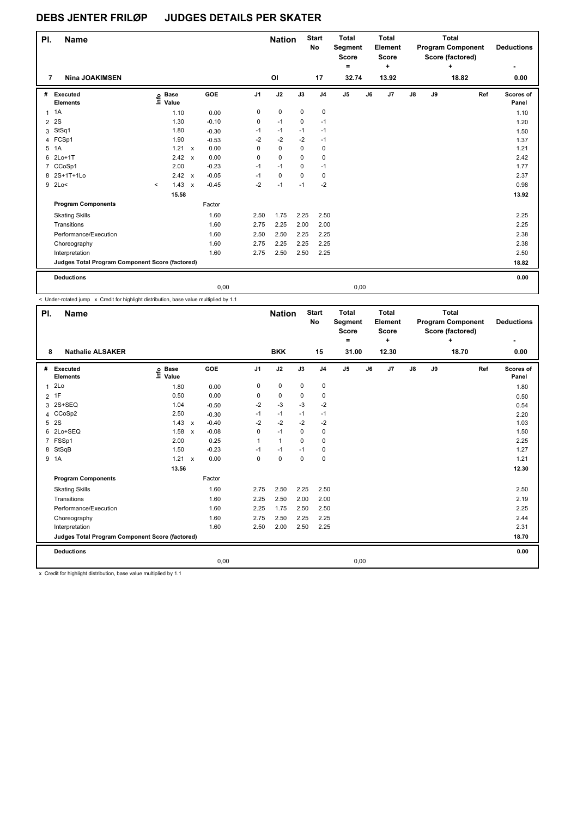| PI.            | <b>Name</b>                                     |                                  |                           |         |                | <b>Nation</b>  |             | <b>Start</b><br>No | <b>Total</b><br>Segment<br><b>Score</b><br>۰ |    | <b>Total</b><br><b>Element</b><br><b>Score</b><br>٠ |    |    | <b>Total</b><br><b>Program Component</b><br>Score (factored)<br>÷ |     | <b>Deductions</b><br>۰ |
|----------------|-------------------------------------------------|----------------------------------|---------------------------|---------|----------------|----------------|-------------|--------------------|----------------------------------------------|----|-----------------------------------------------------|----|----|-------------------------------------------------------------------|-----|------------------------|
| 7              | <b>Nina JOAKIMSEN</b>                           |                                  |                           |         |                | O <sub>l</sub> |             | 17                 | 32.74                                        |    | 13.92                                               |    |    | 18.82                                                             |     | 0.00                   |
| #              | Executed<br><b>Elements</b>                     | <b>Base</b><br>e Base<br>E Value |                           | GOE     | J <sub>1</sub> | J2             | J3          | J <sub>4</sub>     | J <sub>5</sub>                               | J6 | J7                                                  | J8 | J9 |                                                                   | Ref | Scores of<br>Panel     |
| $\mathbf{1}$   | 1A                                              | 1.10                             |                           | 0.00    | 0              | 0              | 0           | 0                  |                                              |    |                                                     |    |    |                                                                   |     | 1.10                   |
| $\overline{2}$ | 2S                                              | 1.30                             |                           | $-0.10$ | 0              | $-1$           | 0           | $-1$               |                                              |    |                                                     |    |    |                                                                   |     | 1.20                   |
| 3              | StSq1                                           | 1.80                             |                           | $-0.30$ | $-1$           | $-1$           | $-1$        | $-1$               |                                              |    |                                                     |    |    |                                                                   |     | 1.50                   |
|                | 4 FCSp1                                         | 1.90                             |                           | $-0.53$ | -2             | $-2$           | $-2$        | $-1$               |                                              |    |                                                     |    |    |                                                                   |     | 1.37                   |
| 5              | 1A                                              | 1.21                             | $\mathsf{x}$              | 0.00    | 0              | $\mathbf 0$    | $\mathbf 0$ | 0                  |                                              |    |                                                     |    |    |                                                                   |     | 1.21                   |
| 6              | $2Lo+1T$                                        | 2.42                             | $\mathsf{x}$              | 0.00    | 0              | $\mathbf 0$    | $\mathbf 0$ | 0                  |                                              |    |                                                     |    |    |                                                                   |     | 2.42                   |
| 7              | CCoSp1                                          | 2.00                             |                           | $-0.23$ | $-1$           | $-1$           | 0           | $-1$               |                                              |    |                                                     |    |    |                                                                   |     | 1.77                   |
| 8              | 2S+1T+1Lo                                       | 2.42                             | $\boldsymbol{\mathsf{x}}$ | $-0.05$ | $-1$           | $\pmb{0}$      | 0           | 0                  |                                              |    |                                                     |    |    |                                                                   |     | 2.37                   |
| 9              | 2Lo<                                            | 1.43<br>$\prec$                  | $\boldsymbol{\mathsf{x}}$ | $-0.45$ | $-2$           | $-1$           | $-1$        | $-2$               |                                              |    |                                                     |    |    |                                                                   |     | 0.98                   |
|                |                                                 | 15.58                            |                           |         |                |                |             |                    |                                              |    |                                                     |    |    |                                                                   |     | 13.92                  |
|                | <b>Program Components</b>                       |                                  |                           | Factor  |                |                |             |                    |                                              |    |                                                     |    |    |                                                                   |     |                        |
|                | <b>Skating Skills</b>                           |                                  |                           | 1.60    | 2.50           | 1.75           | 2.25        | 2.50               |                                              |    |                                                     |    |    |                                                                   |     | 2.25                   |
|                | Transitions                                     |                                  |                           | 1.60    | 2.75           | 2.25           | 2.00        | 2.00               |                                              |    |                                                     |    |    |                                                                   |     | 2.25                   |
|                | Performance/Execution                           |                                  |                           | 1.60    | 2.50           | 2.50           | 2.25        | 2.25               |                                              |    |                                                     |    |    |                                                                   |     | 2.38                   |
|                | Choreography                                    |                                  |                           | 1.60    | 2.75           | 2.25           | 2.25        | 2.25               |                                              |    |                                                     |    |    |                                                                   |     | 2.38                   |
|                | Interpretation                                  |                                  |                           | 1.60    | 2.75           | 2.50           | 2.50        | 2.25               |                                              |    |                                                     |    |    |                                                                   |     | 2.50                   |
|                | Judges Total Program Component Score (factored) |                                  |                           |         |                |                |             |                    |                                              |    |                                                     |    |    |                                                                   |     | 18.82                  |
|                | <b>Deductions</b>                               |                                  |                           |         |                |                |             |                    |                                              |    |                                                     |    |    |                                                                   |     | 0.00                   |
|                |                                                 |                                  |                           | 0,00    |                |                |             |                    | 0,00                                         |    |                                                     |    |    |                                                                   |     |                        |

< Under-rotated jump x Credit for highlight distribution, base value multiplied by 1.1

| PI.            | <b>Name</b>                                     |                            |                           |         |                | <b>Nation</b> |             | <b>Start</b><br>No | <b>Total</b><br>Segment<br><b>Score</b><br>۰ |    | <b>Total</b><br>Element<br>Score<br>$\ddot{}$ | <b>Total</b><br><b>Program Component</b><br>Score (factored)<br>٠<br>18.70 |    |  | <b>Deductions</b> |                    |
|----------------|-------------------------------------------------|----------------------------|---------------------------|---------|----------------|---------------|-------------|--------------------|----------------------------------------------|----|-----------------------------------------------|----------------------------------------------------------------------------|----|--|-------------------|--------------------|
| 8              | <b>Nathalie ALSAKER</b>                         |                            |                           |         |                | <b>BKK</b>    |             | 15                 | 31.00                                        |    | 12.30                                         |                                                                            |    |  |                   | 0.00               |
| #              | Executed<br><b>Elements</b>                     | <b>Base</b><br>۴۵<br>Value |                           | GOE     | J <sub>1</sub> | J2            | J3          | J <sub>4</sub>     | J5                                           | J6 | J7                                            | J8                                                                         | J9 |  | Ref               | Scores of<br>Panel |
| $\overline{1}$ | 2Lo                                             | 1.80                       |                           | 0.00    | 0              | $\pmb{0}$     | $\mathbf 0$ | 0                  |                                              |    |                                               |                                                                            |    |  |                   | 1.80               |
| $\overline{2}$ | 1F                                              | 0.50                       |                           | 0.00    | 0              | 0             | 0           | 0                  |                                              |    |                                               |                                                                            |    |  |                   | 0.50               |
| 3              | 2S+SEQ                                          | 1.04                       |                           | $-0.50$ | $-2$           | $-3$          | $-3$        | $-2$               |                                              |    |                                               |                                                                            |    |  |                   | 0.54               |
| 4              | CCoSp2                                          | 2.50                       |                           | $-0.30$ | $-1$           | $-1$          | $-1$        | $-1$               |                                              |    |                                               |                                                                            |    |  |                   | 2.20               |
| 5              | 2S                                              | 1.43                       | $\mathsf{x}$              | $-0.40$ | $-2$           | $-2$          | $-2$        | $-2$               |                                              |    |                                               |                                                                            |    |  |                   | 1.03               |
| 6              | 2Lo+SEQ                                         | 1.58 x                     |                           | $-0.08$ | 0              | $-1$          | 0           | 0                  |                                              |    |                                               |                                                                            |    |  |                   | 1.50               |
| 7              | FSSp1                                           | 2.00                       |                           | 0.25    | 1              | $\mathbf{1}$  | $\Omega$    | 0                  |                                              |    |                                               |                                                                            |    |  |                   | 2.25               |
| 8              | StSqB                                           | 1.50                       |                           | $-0.23$ | $-1$           | $-1$          | $-1$        | 0                  |                                              |    |                                               |                                                                            |    |  |                   | 1.27               |
|                | 9 1A                                            | 1.21                       | $\boldsymbol{\mathsf{x}}$ | 0.00    | 0              | $\mathbf 0$   | $\mathbf 0$ | 0                  |                                              |    |                                               |                                                                            |    |  |                   | 1.21               |
|                |                                                 | 13.56                      |                           |         |                |               |             |                    |                                              |    |                                               |                                                                            |    |  |                   | 12.30              |
|                | <b>Program Components</b>                       |                            |                           | Factor  |                |               |             |                    |                                              |    |                                               |                                                                            |    |  |                   |                    |
|                | <b>Skating Skills</b>                           |                            |                           | 1.60    | 2.75           | 2.50          | 2.25        | 2.50               |                                              |    |                                               |                                                                            |    |  |                   | 2.50               |
|                | Transitions                                     |                            |                           | 1.60    | 2.25           | 2.50          | 2.00        | 2.00               |                                              |    |                                               |                                                                            |    |  |                   | 2.19               |
|                | Performance/Execution                           |                            |                           | 1.60    | 2.25           | 1.75          | 2.50        | 2.50               |                                              |    |                                               |                                                                            |    |  |                   | 2.25               |
|                | Choreography                                    |                            |                           | 1.60    | 2.75           | 2.50          | 2.25        | 2.25               |                                              |    |                                               |                                                                            |    |  |                   | 2.44               |
|                | Interpretation                                  |                            |                           | 1.60    | 2.50           | 2.00          | 2.50        | 2.25               |                                              |    |                                               |                                                                            |    |  |                   | 2.31               |
|                | Judges Total Program Component Score (factored) |                            |                           |         |                |               |             |                    |                                              |    |                                               |                                                                            |    |  |                   | 18.70              |
|                | <b>Deductions</b>                               |                            |                           |         |                |               |             |                    |                                              |    |                                               |                                                                            |    |  |                   | 0.00               |
|                |                                                 |                            |                           | 0,00    |                |               |             |                    | 0,00                                         |    |                                               |                                                                            |    |  |                   |                    |
|                |                                                 |                            |                           |         |                |               |             |                    |                                              |    |                                               |                                                                            |    |  |                   |                    |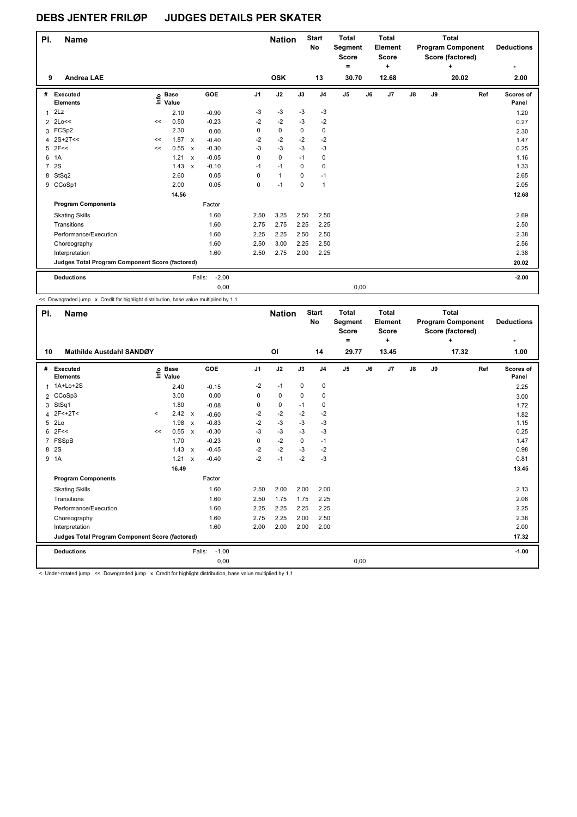| PI.            | <b>Name</b>                                     |    |                      |                           |         |                | <b>Nation</b> |             | <b>Start</b><br>No | <b>Total</b><br><b>Segment</b><br><b>Score</b><br>٠ |    | <b>Total</b><br>Element<br><b>Score</b><br>$\ddot{}$ |               | <b>Total</b><br><b>Program Component</b><br>Score (factored) | <b>Deductions</b> |     |                    |
|----------------|-------------------------------------------------|----|----------------------|---------------------------|---------|----------------|---------------|-------------|--------------------|-----------------------------------------------------|----|------------------------------------------------------|---------------|--------------------------------------------------------------|-------------------|-----|--------------------|
| 9              | <b>Andrea LAE</b>                               |    |                      |                           |         |                | <b>OSK</b>    |             | 13                 | 30.70                                               |    | 12.68                                                |               |                                                              | 20.02             |     | 2.00               |
| #              | Executed<br><b>Elements</b>                     | ١m | <b>Base</b><br>Value |                           | GOE     | J <sub>1</sub> | J2            | J3          | J <sub>4</sub>     | $\mathsf{J}5$                                       | J6 | J <sub>7</sub>                                       | $\mathsf{J}8$ | J9                                                           |                   | Ref | Scores of<br>Panel |
| 1              | 2Lz                                             |    | 2.10                 |                           | $-0.90$ | $-3$           | $-3$          | $-3$        | $-3$               |                                                     |    |                                                      |               |                                                              |                   |     | 1.20               |
| $\overline{2}$ | 2Lo<<                                           | << | 0.50                 |                           | $-0.23$ | $-2$           | $-2$          | $-3$        | $-2$               |                                                     |    |                                                      |               |                                                              |                   |     | 0.27               |
|                | 3 FCSp2                                         |    | 2.30                 |                           | 0.00    | 0              | 0             | $\mathbf 0$ | 0                  |                                                     |    |                                                      |               |                                                              |                   |     | 2.30               |
| 4              | $2S+2T<<$                                       | << | 1.87                 | $\mathsf{x}$              | $-0.40$ | $-2$           | $-2$          | $-2$        | $-2$               |                                                     |    |                                                      |               |                                                              |                   |     | 1.47               |
| 5              | 2F<<                                            | << | 0.55                 | $\mathsf{x}$              | $-0.30$ | $-3$           | $-3$          | $-3$        | $-3$               |                                                     |    |                                                      |               |                                                              |                   |     | 0.25               |
| 6              | 1A                                              |    | 1.21                 | $\boldsymbol{\mathsf{x}}$ | $-0.05$ | 0              | $\mathbf 0$   | $-1$        | 0                  |                                                     |    |                                                      |               |                                                              |                   |     | 1.16               |
| $\overline{7}$ | 2S                                              |    | 1.43                 | $\boldsymbol{\mathsf{x}}$ | $-0.10$ | $-1$           | $-1$          | $\Omega$    | 0                  |                                                     |    |                                                      |               |                                                              |                   |     | 1.33               |
| 8              | StSq2                                           |    | 2.60                 |                           | 0.05    | 0              | 1             | $\Omega$    | $-1$               |                                                     |    |                                                      |               |                                                              |                   |     | 2.65               |
| 9              | CCoSp1                                          |    | 2.00                 |                           | 0.05    | 0              | $-1$          | $\mathbf 0$ | $\mathbf{1}$       |                                                     |    |                                                      |               |                                                              |                   |     | 2.05               |
|                |                                                 |    | 14.56                |                           |         |                |               |             |                    |                                                     |    |                                                      |               |                                                              |                   |     | 12.68              |
|                | <b>Program Components</b>                       |    |                      |                           | Factor  |                |               |             |                    |                                                     |    |                                                      |               |                                                              |                   |     |                    |
|                | <b>Skating Skills</b>                           |    |                      |                           | 1.60    | 2.50           | 3.25          | 2.50        | 2.50               |                                                     |    |                                                      |               |                                                              |                   |     | 2.69               |
|                | Transitions                                     |    |                      |                           | 1.60    | 2.75           | 2.75          | 2.25        | 2.25               |                                                     |    |                                                      |               |                                                              |                   |     | 2.50               |
|                | Performance/Execution                           |    |                      |                           | 1.60    | 2.25           | 2.25          | 2.50        | 2.50               |                                                     |    |                                                      |               |                                                              |                   |     | 2.38               |
|                | Choreography                                    |    |                      |                           | 1.60    | 2.50           | 3.00          | 2.25        | 2.50               |                                                     |    |                                                      |               |                                                              |                   |     | 2.56               |
|                | Interpretation                                  |    |                      |                           | 1.60    | 2.50           | 2.75          | 2.00        | 2.25               |                                                     |    |                                                      |               |                                                              |                   |     | 2.38               |
|                | Judges Total Program Component Score (factored) |    |                      |                           |         |                |               |             |                    |                                                     |    |                                                      |               |                                                              |                   |     | 20.02              |
|                | <b>Deductions</b>                               |    |                      | Falls:                    | $-2.00$ |                |               |             |                    |                                                     |    |                                                      |               |                                                              |                   |     | $-2.00$            |
|                |                                                 |    |                      |                           | 0,00    |                |               |             |                    | 0,00                                                |    |                                                      |               |                                                              |                   |     |                    |

<< Downgraded jump x Credit for highlight distribution, base value multiplied by 1.1

| PI.          | <b>Name</b>                                     |         |                      |              |                   |                | <b>Nation</b>  |             | <b>Start</b><br>No | <b>Total</b><br>Segment<br><b>Score</b><br>۰ |    | <b>Total</b><br>Element<br><b>Score</b><br>÷ |               |    | <b>Total</b><br><b>Program Component</b><br>Score (factored)<br>٠ |     | <b>Deductions</b>  |
|--------------|-------------------------------------------------|---------|----------------------|--------------|-------------------|----------------|----------------|-------------|--------------------|----------------------------------------------|----|----------------------------------------------|---------------|----|-------------------------------------------------------------------|-----|--------------------|
| 10           | Mathilde Austdahl SANDØY                        |         |                      |              |                   |                | O <sub>l</sub> |             | 14                 | 29.77                                        |    | 13.45                                        |               |    | 17.32                                                             |     | 1.00               |
| #            | Executed<br><b>Elements</b>                     | ۴ů      | <b>Base</b><br>Value |              | GOE               | J <sub>1</sub> | J2             | J3          | J <sub>4</sub>     | J5                                           | J6 | J7                                           | $\mathsf{J}8$ | J9 |                                                                   | Ref | Scores of<br>Panel |
| $\mathbf{1}$ | $1A+Lo+2S$                                      |         | 2.40                 |              | $-0.15$           | $-2$           | $-1$           | 0           | $\pmb{0}$          |                                              |    |                                              |               |    |                                                                   |     | 2.25               |
|              | 2 CCoSp3                                        |         | 3.00                 |              | 0.00              | 0              | $\mathbf 0$    | 0           | $\mathbf 0$        |                                              |    |                                              |               |    |                                                                   |     | 3.00               |
| 3            | StSq1                                           |         | 1.80                 |              | $-0.08$           | 0              | $\pmb{0}$      | $-1$        | 0                  |                                              |    |                                              |               |    |                                                                   |     | 1.72               |
| 4            | $2F<+2T<$                                       | $\prec$ | 2.42 x               |              | $-0.60$           | $-2$           | $-2$           | $-2$        | $-2$               |                                              |    |                                              |               |    |                                                                   |     | 1.82               |
| 5            | 2Lo                                             |         | 1.98                 | $\mathsf{x}$ | $-0.83$           | $-2$           | $-3$           | $-3$        | $-3$               |                                              |    |                                              |               |    |                                                                   |     | 1.15               |
| 6            | 2F<<                                            | <<      | 0.55                 | $\mathbf{x}$ | $-0.30$           | $-3$           | $-3$           | $-3$        | $-3$               |                                              |    |                                              |               |    |                                                                   |     | 0.25               |
| 7            | FSSpB                                           |         | 1.70                 |              | $-0.23$           | 0              | $-2$           | $\mathbf 0$ | $-1$               |                                              |    |                                              |               |    |                                                                   |     | 1.47               |
|              | 8 2S                                            |         | 1.43                 | $\mathsf{x}$ | $-0.45$           | $-2$           | $-2$           | $-3$        | $-2$               |                                              |    |                                              |               |    |                                                                   |     | 0.98               |
|              | 9 1A                                            |         | 1.21                 | $\mathbf{x}$ | $-0.40$           | $-2$           | $-1$           | $-2$        | $-3$               |                                              |    |                                              |               |    |                                                                   |     | 0.81               |
|              |                                                 |         | 16.49                |              |                   |                |                |             |                    |                                              |    |                                              |               |    |                                                                   |     | 13.45              |
|              | <b>Program Components</b>                       |         |                      |              | Factor            |                |                |             |                    |                                              |    |                                              |               |    |                                                                   |     |                    |
|              | <b>Skating Skills</b>                           |         |                      |              | 1.60              | 2.50           | 2.00           | 2.00        | 2.00               |                                              |    |                                              |               |    |                                                                   |     | 2.13               |
|              | Transitions                                     |         |                      |              | 1.60              | 2.50           | 1.75           | 1.75        | 2.25               |                                              |    |                                              |               |    |                                                                   |     | 2.06               |
|              | Performance/Execution                           |         |                      |              | 1.60              | 2.25           | 2.25           | 2.25        | 2.25               |                                              |    |                                              |               |    |                                                                   |     | 2.25               |
|              | Choreography                                    |         |                      |              | 1.60              | 2.75           | 2.25           | 2.00        | 2.50               |                                              |    |                                              |               |    |                                                                   |     | 2.38               |
|              | Interpretation                                  |         |                      |              | 1.60              | 2.00           | 2.00           | 2.00        | 2.00               |                                              |    |                                              |               |    |                                                                   |     | 2.00               |
|              | Judges Total Program Component Score (factored) |         |                      |              |                   |                |                |             |                    |                                              |    |                                              |               |    |                                                                   |     | 17.32              |
|              | <b>Deductions</b>                               |         |                      |              | $-1.00$<br>Falls: |                |                |             |                    |                                              |    |                                              |               |    |                                                                   |     | $-1.00$            |
|              |                                                 |         |                      |              | 0,00              |                |                |             |                    | 0,00                                         |    |                                              |               |    |                                                                   |     |                    |

< Under-rotated jump << Downgraded jump x Credit for highlight distribution, base value multiplied by 1.1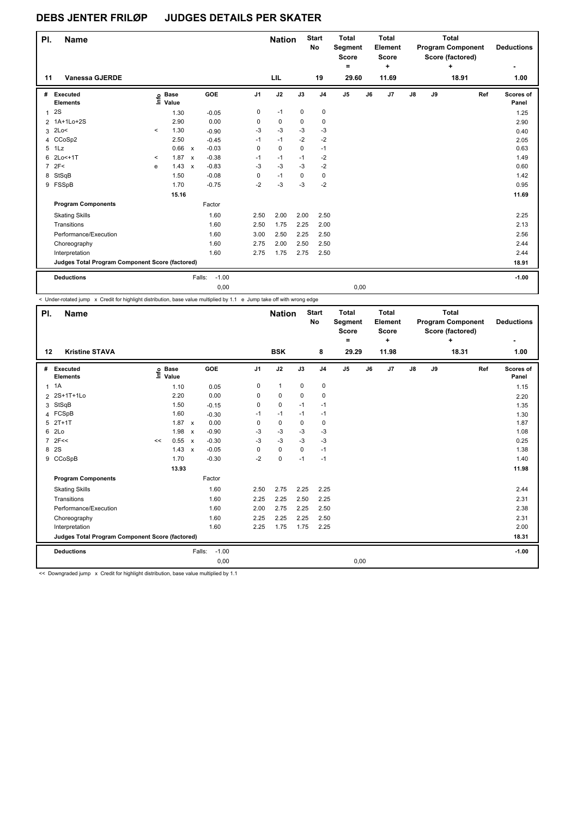| PI.            | <b>Name</b>                                     |         |                      |                           |                   |                | <b>Nation</b> |             | <b>Start</b><br>No | <b>Total</b><br>Segment<br><b>Score</b><br>۰ |    | <b>Total</b><br>Element<br><b>Score</b><br>÷ | <b>Total</b><br><b>Program Component</b><br>Score (factored)<br>٠<br>18.91 |    |  |     | <b>Deductions</b><br>۰ |
|----------------|-------------------------------------------------|---------|----------------------|---------------------------|-------------------|----------------|---------------|-------------|--------------------|----------------------------------------------|----|----------------------------------------------|----------------------------------------------------------------------------|----|--|-----|------------------------|
| 11             | <b>Vanessa GJERDE</b>                           |         |                      |                           |                   |                | LIL           |             | 19                 | 29.60                                        |    | 11.69                                        |                                                                            |    |  |     | 1.00                   |
| #              | Executed<br><b>Elements</b>                     | ١m      | <b>Base</b><br>Value |                           | GOE               | J <sub>1</sub> | J2            | J3          | J <sub>4</sub>     | J <sub>5</sub>                               | J6 | J <sub>7</sub>                               | J8                                                                         | J9 |  | Ref | Scores of<br>Panel     |
| $\mathbf{1}$   | 2S                                              |         | 1.30                 |                           | $-0.05$           | 0              | $-1$          | $\mathbf 0$ | 0                  |                                              |    |                                              |                                                                            |    |  |     | 1.25                   |
| $\overline{2}$ | 1A+1Lo+2S                                       |         | 2.90                 |                           | 0.00              | 0              | 0             | 0           | 0                  |                                              |    |                                              |                                                                            |    |  |     | 2.90                   |
| 3              | 2Lo<                                            | $\prec$ | 1.30                 |                           | $-0.90$           | $-3$           | $-3$          | $-3$        | $-3$               |                                              |    |                                              |                                                                            |    |  |     | 0.40                   |
| 4              | CCoSp2                                          |         | 2.50                 |                           | $-0.45$           | $-1$           | $-1$          | $-2$        | $-2$               |                                              |    |                                              |                                                                            |    |  |     | 2.05                   |
| 5              | 1 <sub>L</sub> z                                |         | 0.66                 | $\mathsf{x}$              | $-0.03$           | 0              | $\mathbf 0$   | 0           | $-1$               |                                              |    |                                              |                                                                            |    |  |     | 0.63                   |
| 6              | 2Lo<+1T                                         | $\prec$ | 1.87                 | $\boldsymbol{\mathsf{x}}$ | $-0.38$           | $-1$           | $-1$          | $-1$        | $-2$               |                                              |    |                                              |                                                                            |    |  |     | 1.49                   |
| $\overline{7}$ | 2F<                                             | e       | 1.43                 | $\boldsymbol{\mathsf{x}}$ | $-0.83$           | $-3$           | $-3$          | $-3$        | $-2$               |                                              |    |                                              |                                                                            |    |  |     | 0.60                   |
| 8              | StSqB                                           |         | 1.50                 |                           | $-0.08$           | 0              | $-1$          | 0           | 0                  |                                              |    |                                              |                                                                            |    |  |     | 1.42                   |
|                | 9 FSSpB                                         |         | 1.70                 |                           | $-0.75$           | $-2$           | $-3$          | $-3$        | $-2$               |                                              |    |                                              |                                                                            |    |  |     | 0.95                   |
|                |                                                 |         | 15.16                |                           |                   |                |               |             |                    |                                              |    |                                              |                                                                            |    |  |     | 11.69                  |
|                | <b>Program Components</b>                       |         |                      |                           | Factor            |                |               |             |                    |                                              |    |                                              |                                                                            |    |  |     |                        |
|                | <b>Skating Skills</b>                           |         |                      |                           | 1.60              | 2.50           | 2.00          | 2.00        | 2.50               |                                              |    |                                              |                                                                            |    |  |     | 2.25                   |
|                | Transitions                                     |         |                      |                           | 1.60              | 2.50           | 1.75          | 2.25        | 2.00               |                                              |    |                                              |                                                                            |    |  |     | 2.13                   |
|                | Performance/Execution                           |         |                      |                           | 1.60              | 3.00           | 2.50          | 2.25        | 2.50               |                                              |    |                                              |                                                                            |    |  |     | 2.56                   |
|                | Choreography                                    |         |                      |                           | 1.60              | 2.75           | 2.00          | 2.50        | 2.50               |                                              |    |                                              |                                                                            |    |  |     | 2.44                   |
|                | Interpretation                                  |         |                      |                           | 1.60              | 2.75           | 1.75          | 2.75        | 2.50               |                                              |    |                                              |                                                                            |    |  |     | 2.44                   |
|                | Judges Total Program Component Score (factored) |         |                      |                           |                   |                |               |             |                    |                                              |    |                                              |                                                                            |    |  |     | 18.91                  |
|                | <b>Deductions</b>                               |         |                      |                           | $-1.00$<br>Falls: |                |               |             |                    |                                              |    |                                              |                                                                            |    |  |     | $-1.00$                |
|                |                                                 |         |                      |                           | 0,00              |                |               |             |                    | 0,00                                         |    |                                              |                                                                            |    |  |     |                        |

< Under-rotated jump x Credit for highlight distribution, base value multiplied by 1.1 e Jump take off with wrong edge

| PI.            | <b>Name</b>                                     |                            |                           |                   |                | <b>Nation</b> |             | <b>Start</b><br>No | <b>Total</b><br>Segment<br><b>Score</b><br>۰ |    | <b>Total</b><br>Element<br><b>Score</b><br>÷ |               |    | <b>Total</b><br><b>Program Component</b><br>Score (factored)<br>÷ |     | <b>Deductions</b>  |
|----------------|-------------------------------------------------|----------------------------|---------------------------|-------------------|----------------|---------------|-------------|--------------------|----------------------------------------------|----|----------------------------------------------|---------------|----|-------------------------------------------------------------------|-----|--------------------|
| 12             | <b>Kristine STAVA</b>                           |                            |                           |                   |                | <b>BSK</b>    |             | 8                  | 29.29                                        |    | 11.98                                        |               |    | 18.31                                                             |     | 1.00               |
| #              | Executed<br><b>Elements</b>                     | e Base<br>E Value<br>Value |                           | GOE               | J <sub>1</sub> | J2            | J3          | J <sub>4</sub>     | J5                                           | J6 | J7                                           | $\mathsf{J}8$ | J9 |                                                                   | Ref | Scores of<br>Panel |
| $\mathbf{1}$   | 1A                                              | 1.10                       |                           | 0.05              | 0              | $\mathbf{1}$  | $\mathbf 0$ | $\pmb{0}$          |                                              |    |                                              |               |    |                                                                   |     | 1.15               |
|                | 2 2S+1T+1Lo                                     | 2.20                       |                           | 0.00              | 0              | $\mathbf 0$   | 0           | 0                  |                                              |    |                                              |               |    |                                                                   |     | 2.20               |
| 3              | StSqB                                           | 1.50                       |                           | $-0.15$           | 0              | $\pmb{0}$     | $-1$        | $-1$               |                                              |    |                                              |               |    |                                                                   |     | 1.35               |
|                | 4 FCSpB                                         | 1.60                       |                           | $-0.30$           | $-1$           | $-1$          | $-1$        | $-1$               |                                              |    |                                              |               |    |                                                                   |     | 1.30               |
| 5              | $2T+1T$                                         | 1.87 x                     |                           | 0.00              | 0              | 0             | $\Omega$    | $\mathbf 0$        |                                              |    |                                              |               |    |                                                                   |     | 1.87               |
| 6              | 2 <sub>LO</sub>                                 | 1.98                       | $\boldsymbol{\mathsf{x}}$ | $-0.90$           | -3             | $-3$          | $-3$        | -3                 |                                              |    |                                              |               |    |                                                                   |     | 1.08               |
| $\overline{7}$ | 2F<<                                            | 0.55<br><<                 | $\mathsf{x}$              | $-0.30$           | $-3$           | $-3$          | $-3$        | $-3$               |                                              |    |                                              |               |    |                                                                   |     | 0.25               |
| 8              | 2S                                              | 1.43                       | $\mathsf{x}$              | $-0.05$           | 0              | 0             | $\mathbf 0$ | $-1$               |                                              |    |                                              |               |    |                                                                   |     | 1.38               |
|                | 9 CCoSpB                                        | 1.70                       |                           | $-0.30$           | $-2$           | $\mathbf 0$   | $-1$        | $-1$               |                                              |    |                                              |               |    |                                                                   |     | 1.40               |
|                |                                                 | 13.93                      |                           |                   |                |               |             |                    |                                              |    |                                              |               |    |                                                                   |     | 11.98              |
|                | <b>Program Components</b>                       |                            |                           | Factor            |                |               |             |                    |                                              |    |                                              |               |    |                                                                   |     |                    |
|                | <b>Skating Skills</b>                           |                            |                           | 1.60              | 2.50           | 2.75          | 2.25        | 2.25               |                                              |    |                                              |               |    |                                                                   |     | 2.44               |
|                | Transitions                                     |                            |                           | 1.60              | 2.25           | 2.25          | 2.50        | 2.25               |                                              |    |                                              |               |    |                                                                   |     | 2.31               |
|                | Performance/Execution                           |                            |                           | 1.60              | 2.00           | 2.75          | 2.25        | 2.50               |                                              |    |                                              |               |    |                                                                   |     | 2.38               |
|                | Choreography                                    |                            |                           | 1.60              | 2.25           | 2.25          | 2.25        | 2.50               |                                              |    |                                              |               |    |                                                                   |     | 2.31               |
|                | Interpretation                                  |                            |                           | 1.60              | 2.25           | 1.75          | 1.75        | 2.25               |                                              |    |                                              |               |    |                                                                   |     | 2.00               |
|                | Judges Total Program Component Score (factored) |                            |                           |                   |                |               |             |                    |                                              |    |                                              |               |    |                                                                   |     | 18.31              |
|                | <b>Deductions</b>                               |                            |                           | $-1.00$<br>Falls: |                |               |             |                    |                                              |    |                                              |               |    |                                                                   |     | $-1.00$            |
|                |                                                 |                            |                           | 0,00              |                |               |             |                    | 0,00                                         |    |                                              |               |    |                                                                   |     |                    |

<< Downgraded jump x Credit for highlight distribution, base value multiplied by 1.1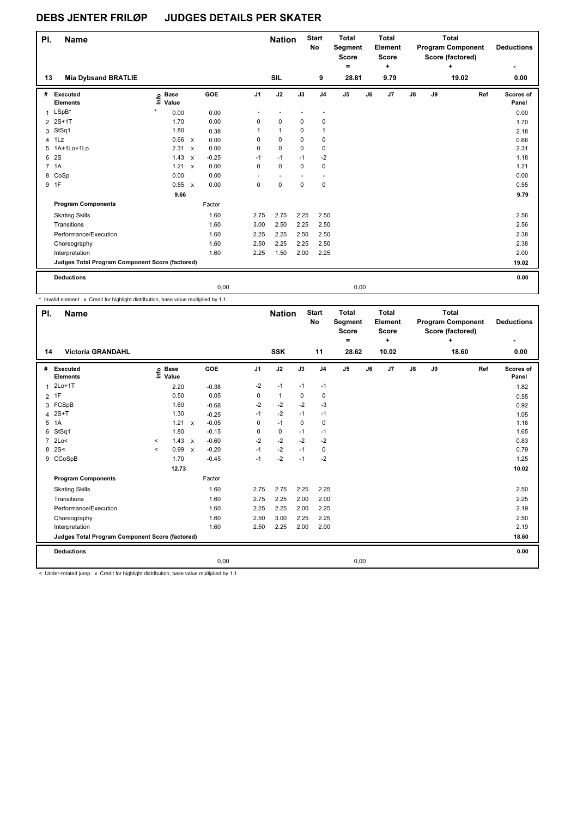| PI.            | Name                                            |                                  |                           |         |                | <b>Nation</b> |             | <b>Start</b><br>No | <b>Total</b><br>Segment<br><b>Score</b><br>$\equiv$ |    | <b>Total</b><br>Element<br><b>Score</b><br>$\ddot{}$ |    |    | <b>Total</b><br><b>Program Component</b><br>Score (factored)<br>٠ | <b>Deductions</b><br>۰ |
|----------------|-------------------------------------------------|----------------------------------|---------------------------|---------|----------------|---------------|-------------|--------------------|-----------------------------------------------------|----|------------------------------------------------------|----|----|-------------------------------------------------------------------|------------------------|
| 13             | <b>Mia Dybsand BRATLIE</b>                      |                                  |                           |         |                | <b>SIL</b>    |             | 9                  | 28.81                                               |    | 9.79                                                 |    |    | 19.02                                                             | 0.00                   |
| #              | Executed<br><b>Elements</b>                     | <b>Base</b><br>e Base<br>E Value |                           | GOE     | J <sub>1</sub> | J2            | J3          | J <sub>4</sub>     | J5                                                  | J6 | J <sub>7</sub>                                       | J8 | J9 | Ref                                                               | Scores of<br>Panel     |
| $\mathbf{1}$   | $LSpB*$                                         | 0.00                             |                           | 0.00    |                |               |             |                    |                                                     |    |                                                      |    |    |                                                                   | 0.00                   |
|                | 2 2S+1T                                         | 1.70                             |                           | 0.00    | 0              | $\mathbf 0$   | $\mathbf 0$ | 0                  |                                                     |    |                                                      |    |    |                                                                   | 1.70                   |
| 3              | StSq1                                           | 1.80                             |                           | 0.38    | 1              | $\mathbf{1}$  | $\mathbf 0$ | 1                  |                                                     |    |                                                      |    |    |                                                                   | 2.18                   |
|                | 4 1Lz                                           | 0.66                             | $\boldsymbol{\mathsf{x}}$ | 0.00    | 0              | 0             | 0           | 0                  |                                                     |    |                                                      |    |    |                                                                   | 0.66                   |
| 5              | 1A+1Lo+1Lo                                      | 2.31                             | $\mathsf{x}$              | 0.00    | 0              | $\mathbf 0$   | $\Omega$    | 0                  |                                                     |    |                                                      |    |    |                                                                   | 2.31                   |
| 6              | 2S                                              | 1.43                             | $\boldsymbol{\mathsf{x}}$ | $-0.25$ | $-1$           | $-1$          | $-1$        | $-2$               |                                                     |    |                                                      |    |    |                                                                   | 1.18                   |
| $\overline{7}$ | 1A                                              | 1.21                             | $\mathsf{x}$              | 0.00    | 0              | $\mathbf 0$   | $\Omega$    | 0                  |                                                     |    |                                                      |    |    |                                                                   | 1.21                   |
| 8              | CoSp                                            | 0.00                             |                           | 0.00    |                |               |             |                    |                                                     |    |                                                      |    |    |                                                                   | 0.00                   |
|                | 9 1F                                            | 0.55                             | $\boldsymbol{\mathsf{x}}$ | 0.00    | 0              | $\mathbf 0$   | $\mathbf 0$ | 0                  |                                                     |    |                                                      |    |    |                                                                   | 0.55                   |
|                |                                                 | 9.66                             |                           |         |                |               |             |                    |                                                     |    |                                                      |    |    |                                                                   | 9.79                   |
|                | <b>Program Components</b>                       |                                  |                           | Factor  |                |               |             |                    |                                                     |    |                                                      |    |    |                                                                   |                        |
|                | <b>Skating Skills</b>                           |                                  |                           | 1.60    | 2.75           | 2.75          | 2.25        | 2.50               |                                                     |    |                                                      |    |    |                                                                   | 2.56                   |
|                | Transitions                                     |                                  |                           | 1.60    | 3.00           | 2.50          | 2.25        | 2.50               |                                                     |    |                                                      |    |    |                                                                   | 2.56                   |
|                | Performance/Execution                           |                                  |                           | 1.60    | 2.25           | 2.25          | 2.50        | 2.50               |                                                     |    |                                                      |    |    |                                                                   | 2.38                   |
|                | Choreography                                    |                                  |                           | 1.60    | 2.50           | 2.25          | 2.25        | 2.50               |                                                     |    |                                                      |    |    |                                                                   | 2.38                   |
|                | Interpretation                                  |                                  |                           | 1.60    | 2.25           | 1.50          | 2.00        | 2.25               |                                                     |    |                                                      |    |    |                                                                   | 2.00                   |
|                | Judges Total Program Component Score (factored) |                                  |                           |         |                |               |             |                    |                                                     |    |                                                      |    |    |                                                                   | 19.02                  |
|                | <b>Deductions</b>                               |                                  |                           |         |                |               |             |                    |                                                     |    |                                                      |    |    |                                                                   | 0.00                   |
|                |                                                 |                                  |                           | 0.00    |                |               |             |                    | 0.00                                                |    |                                                      |    |    |                                                                   |                        |

\* Invalid element x Credit for highlight distribution, base value multiplied by 1.1

| PI.            | <b>Name</b>                                     |         |                      |              |         |                | <b>Nation</b> |      | <b>Start</b><br>No | <b>Total</b><br>Segment<br><b>Score</b><br>Ξ. | <b>Total</b><br><b>Element</b><br><b>Score</b><br>٠ |    |    | <b>Total</b><br><b>Program Component</b><br>Score (factored)<br>٠ |     | <b>Deductions</b>  |
|----------------|-------------------------------------------------|---------|----------------------|--------------|---------|----------------|---------------|------|--------------------|-----------------------------------------------|-----------------------------------------------------|----|----|-------------------------------------------------------------------|-----|--------------------|
| 14             | <b>Victoria GRANDAHL</b>                        |         |                      |              |         |                | <b>SSK</b>    |      | 11                 | 28.62                                         | 10.02                                               |    |    | 18.60                                                             |     | 0.00               |
| #              | Executed<br><b>Elements</b>                     | ١nf٥    | <b>Base</b><br>Value |              | GOE     | J <sub>1</sub> | J2            | J3   | J <sub>4</sub>     | J5                                            | J7<br>J6                                            | J8 | J9 |                                                                   | Ref | Scores of<br>Panel |
| $\mathbf 1$    | $2Lo+1T$                                        |         | 2.20                 |              | $-0.38$ | $-2$           | $-1$          | $-1$ | $-1$               |                                               |                                                     |    |    |                                                                   |     | 1.82               |
| $\overline{2}$ | 1F                                              |         | 0.50                 |              | 0.05    | 0              | $\mathbf{1}$  | 0    | 0                  |                                               |                                                     |    |    |                                                                   |     | 0.55               |
|                | 3 FCSpB                                         |         | 1.60                 |              | $-0.68$ | -2             | $-2$          | $-2$ | -3                 |                                               |                                                     |    |    |                                                                   |     | 0.92               |
| 4              | $2S+T$                                          |         | 1.30                 |              | $-0.25$ | $-1$           | $-2$          | $-1$ | $-1$               |                                               |                                                     |    |    |                                                                   |     | 1.05               |
| 5              | 1A                                              |         | 1.21                 | $\mathsf{x}$ | $-0.05$ | 0              | $-1$          | 0    | 0                  |                                               |                                                     |    |    |                                                                   |     | 1.16               |
| 6              | StSq1                                           |         | 1.80                 |              | $-0.15$ | 0              | 0             | $-1$ | $-1$               |                                               |                                                     |    |    |                                                                   |     | 1.65               |
| $\overline{7}$ | 2Lo<                                            | $\,<$   | 1.43                 | $\mathsf{x}$ | $-0.60$ | $-2$           | $-2$          | $-2$ | $-2$               |                                               |                                                     |    |    |                                                                   |     | 0.83               |
| 8              | 2S<                                             | $\prec$ | 0.99                 | $\mathsf{x}$ | $-0.20$ | $-1$           | $-2$          | $-1$ | $\mathbf 0$        |                                               |                                                     |    |    |                                                                   |     | 0.79               |
|                | 9 CCoSpB                                        |         | 1.70                 |              | $-0.45$ | $-1$           | $-2$          | $-1$ | $-2$               |                                               |                                                     |    |    |                                                                   |     | 1.25               |
|                |                                                 |         | 12.73                |              |         |                |               |      |                    |                                               |                                                     |    |    |                                                                   |     | 10.02              |
|                | <b>Program Components</b>                       |         |                      |              | Factor  |                |               |      |                    |                                               |                                                     |    |    |                                                                   |     |                    |
|                | <b>Skating Skills</b>                           |         |                      |              | 1.60    | 2.75           | 2.75          | 2.25 | 2.25               |                                               |                                                     |    |    |                                                                   |     | 2.50               |
|                | Transitions                                     |         |                      |              | 1.60    | 2.75           | 2.25          | 2.00 | 2.00               |                                               |                                                     |    |    |                                                                   |     | 2.25               |
|                | Performance/Execution                           |         |                      |              | 1.60    | 2.25           | 2.25          | 2.00 | 2.25               |                                               |                                                     |    |    |                                                                   |     | 2.19               |
|                | Choreography                                    |         |                      |              | 1.60    | 2.50           | 3.00          | 2.25 | 2.25               |                                               |                                                     |    |    |                                                                   |     | 2.50               |
|                | Interpretation                                  |         |                      |              | 1.60    | 2.50           | 2.25          | 2.00 | 2.00               |                                               |                                                     |    |    |                                                                   |     | 2.19               |
|                | Judges Total Program Component Score (factored) |         |                      |              |         |                |               |      |                    |                                               |                                                     |    |    |                                                                   |     | 18.60              |
|                | <b>Deductions</b>                               |         |                      |              |         |                |               |      |                    |                                               |                                                     |    |    |                                                                   |     | 0.00               |
|                |                                                 |         |                      |              | 0,00    |                |               |      |                    | 0,00                                          |                                                     |    |    |                                                                   |     |                    |

< Under-rotated jump x Credit for highlight distribution, base value multiplied by 1.1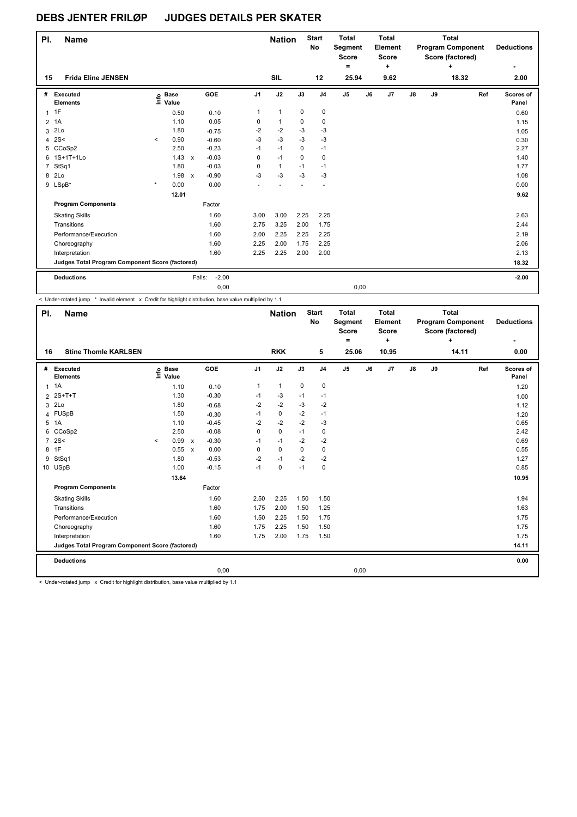| PI.            | <b>Name</b>                                     |         |                      |                           |                   |                | <b>Nation</b> |             | <b>Start</b><br>No | <b>Total</b><br>Segment<br><b>Score</b> |    | <b>Total</b><br>Element<br><b>Score</b> |    |    | <b>Total</b><br><b>Program Component</b><br>Score (factored) |     | <b>Deductions</b>  |
|----------------|-------------------------------------------------|---------|----------------------|---------------------------|-------------------|----------------|---------------|-------------|--------------------|-----------------------------------------|----|-----------------------------------------|----|----|--------------------------------------------------------------|-----|--------------------|
| 15             | <b>Frida Eline JENSEN</b>                       |         |                      |                           |                   |                | <b>SIL</b>    |             | 12                 | ۰<br>25.94                              |    | ÷<br>9.62                               |    |    | ٠<br>18.32                                                   |     | 2.00               |
|                |                                                 |         |                      |                           |                   |                |               |             |                    |                                         |    |                                         |    |    |                                                              |     |                    |
| #              | Executed<br><b>Elements</b>                     | ١mfo    | <b>Base</b><br>Value |                           | GOE               | J <sub>1</sub> | J2            | J3          | J <sub>4</sub>     | J5                                      | J6 | J7                                      | J8 | J9 |                                                              | Ref | Scores of<br>Panel |
| $\mathbf{1}$   | 1F                                              |         | 0.50                 |                           | 0.10              | 1              | $\mathbf{1}$  | $\mathbf 0$ | $\mathbf 0$        |                                         |    |                                         |    |    |                                                              |     | 0.60               |
| $\overline{2}$ | 1A                                              |         | 1.10                 |                           | 0.05              | 0              | $\mathbf{1}$  | 0           | 0                  |                                         |    |                                         |    |    |                                                              |     | 1.15               |
| 3              | 2Lo                                             |         | 1.80                 |                           | $-0.75$           | $-2$           | $-2$          | $-3$        | $-3$               |                                         |    |                                         |    |    |                                                              |     | 1.05               |
| 4              | 2S<                                             | $\prec$ | 0.90                 |                           | $-0.60$           | $-3$           | $-3$          | $-3$        | $-3$               |                                         |    |                                         |    |    |                                                              |     | 0.30               |
| 5              | CCoSp2                                          |         | 2.50                 |                           | $-0.23$           | $-1$           | $-1$          | 0           | $-1$               |                                         |    |                                         |    |    |                                                              |     | 2.27               |
| 6              | 1S+1T+1Lo                                       |         | 1.43                 | $\mathsf{x}$              | $-0.03$           | 0              | $-1$          | 0           | 0                  |                                         |    |                                         |    |    |                                                              |     | 1.40               |
| $\overline{7}$ | StSq1                                           |         | 1.80                 |                           | $-0.03$           | 0              | $\mathbf{1}$  | $-1$        | $-1$               |                                         |    |                                         |    |    |                                                              |     | 1.77               |
| 8              | 2 <sub>LO</sub>                                 |         | 1.98                 | $\boldsymbol{\mathsf{x}}$ | $-0.90$           | $-3$           | $-3$          | $-3$        | $-3$               |                                         |    |                                         |    |    |                                                              |     | 1.08               |
|                | 9 LSpB*                                         | $\star$ | 0.00                 |                           | 0.00              |                |               |             |                    |                                         |    |                                         |    |    |                                                              |     | 0.00               |
|                |                                                 |         | 12.01                |                           |                   |                |               |             |                    |                                         |    |                                         |    |    |                                                              |     | 9.62               |
|                | <b>Program Components</b>                       |         |                      |                           | Factor            |                |               |             |                    |                                         |    |                                         |    |    |                                                              |     |                    |
|                | <b>Skating Skills</b>                           |         |                      |                           | 1.60              | 3.00           | 3.00          | 2.25        | 2.25               |                                         |    |                                         |    |    |                                                              |     | 2.63               |
|                | Transitions                                     |         |                      |                           | 1.60              | 2.75           | 3.25          | 2.00        | 1.75               |                                         |    |                                         |    |    |                                                              |     | 2.44               |
|                | Performance/Execution                           |         |                      |                           | 1.60              | 2.00           | 2.25          | 2.25        | 2.25               |                                         |    |                                         |    |    |                                                              |     | 2.19               |
|                | Choreography                                    |         |                      |                           | 1.60              | 2.25           | 2.00          | 1.75        | 2.25               |                                         |    |                                         |    |    |                                                              |     | 2.06               |
|                | Interpretation                                  |         |                      |                           | 1.60              | 2.25           | 2.25          | 2.00        | 2.00               |                                         |    |                                         |    |    |                                                              |     | 2.13               |
|                | Judges Total Program Component Score (factored) |         |                      |                           |                   |                |               |             |                    |                                         |    |                                         |    |    |                                                              |     | 18.32              |
|                | <b>Deductions</b>                               |         |                      |                           | $-2.00$<br>Falls: |                |               |             |                    |                                         |    |                                         |    |    |                                                              |     | $-2.00$            |
|                |                                                 |         |                      |                           | 0,00              |                |               |             |                    | 0,00                                    |    |                                         |    |    |                                                              |     |                    |

< Under-rotated jump \* Invalid element x Credit for highlight distribution, base value multiplied by 1.1

| PI.            | <b>Name</b>                                     |         |                            |                           |         |                | <b>Nation</b> |          | <b>Start</b><br>No | <b>Total</b><br>Segment<br><b>Score</b><br>Ξ. |    | <b>Total</b><br>Element<br><b>Score</b><br>٠ |    |    | <b>Total</b><br><b>Program Component</b><br>Score (factored)<br>÷ |     | <b>Deductions</b>  |
|----------------|-------------------------------------------------|---------|----------------------------|---------------------------|---------|----------------|---------------|----------|--------------------|-----------------------------------------------|----|----------------------------------------------|----|----|-------------------------------------------------------------------|-----|--------------------|
| 16             | <b>Stine Thomle KARLSEN</b>                     |         |                            |                           |         |                | <b>RKK</b>    |          | 5                  | 25.06                                         |    | 10.95                                        |    |    | 14.11                                                             |     | 0.00               |
| #              | Executed<br><b>Elements</b>                     |         | e Base<br>E Value<br>Value |                           | GOE     | J <sub>1</sub> | J2            | J3       | J <sub>4</sub>     | J <sub>5</sub>                                | J6 | J <sub>7</sub>                               | J8 | J9 |                                                                   | Ref | Scores of<br>Panel |
| $\mathbf{1}$   | 1A                                              |         | 1.10                       |                           | 0.10    | $\mathbf{1}$   | $\mathbf{1}$  | 0        | $\mathbf 0$        |                                               |    |                                              |    |    |                                                                   |     | 1.20               |
|                | 2 2S+T+T                                        |         | 1.30                       |                           | $-0.30$ | $-1$           | -3            | $-1$     | $-1$               |                                               |    |                                              |    |    |                                                                   |     | 1.00               |
| 3              | 2Lo                                             |         | 1.80                       |                           | $-0.68$ | $-2$           | $-2$          | $-3$     | $-2$               |                                               |    |                                              |    |    |                                                                   |     | 1.12               |
| 4              | <b>FUSpB</b>                                    |         | 1.50                       |                           | $-0.30$ | $-1$           | $\mathbf 0$   | $-2$     | $-1$               |                                               |    |                                              |    |    |                                                                   |     | 1.20               |
| 5              | 1A                                              |         | 1.10                       |                           | $-0.45$ | $-2$           | $-2$          | $-2$     | $-3$               |                                               |    |                                              |    |    |                                                                   |     | 0.65               |
| 6              | CCoSp2                                          |         | 2.50                       |                           | $-0.08$ | 0              | $\mathbf 0$   | $-1$     | $\mathbf 0$        |                                               |    |                                              |    |    |                                                                   |     | 2.42               |
| $\overline{7}$ | 2S<                                             | $\prec$ | 0.99                       | $\boldsymbol{\mathsf{x}}$ | $-0.30$ | $-1$           | $-1$          | $-2$     | $-2$               |                                               |    |                                              |    |    |                                                                   |     | 0.69               |
| 8              | 1F                                              |         | 0.55                       | $\boldsymbol{\mathsf{x}}$ | 0.00    | 0              | $\mathbf 0$   | $\Omega$ | $\mathbf 0$        |                                               |    |                                              |    |    |                                                                   |     | 0.55               |
| 9              | StSq1                                           |         | 1.80                       |                           | $-0.53$ | $-2$           | $-1$          | $-2$     | $-2$               |                                               |    |                                              |    |    |                                                                   |     | 1.27               |
|                | 10 USpB                                         |         | 1.00                       |                           | $-0.15$ | $-1$           | $\mathbf 0$   | $-1$     | $\mathbf 0$        |                                               |    |                                              |    |    |                                                                   |     | 0.85               |
|                |                                                 |         | 13.64                      |                           |         |                |               |          |                    |                                               |    |                                              |    |    |                                                                   |     | 10.95              |
|                | <b>Program Components</b>                       |         |                            |                           | Factor  |                |               |          |                    |                                               |    |                                              |    |    |                                                                   |     |                    |
|                | <b>Skating Skills</b>                           |         |                            |                           | 1.60    | 2.50           | 2.25          | 1.50     | 1.50               |                                               |    |                                              |    |    |                                                                   |     | 1.94               |
|                | Transitions                                     |         |                            |                           | 1.60    | 1.75           | 2.00          | 1.50     | 1.25               |                                               |    |                                              |    |    |                                                                   |     | 1.63               |
|                | Performance/Execution                           |         |                            |                           | 1.60    | 1.50           | 2.25          | 1.50     | 1.75               |                                               |    |                                              |    |    |                                                                   |     | 1.75               |
|                | Choreography                                    |         |                            |                           | 1.60    | 1.75           | 2.25          | 1.50     | 1.50               |                                               |    |                                              |    |    |                                                                   |     | 1.75               |
|                | Interpretation                                  |         |                            |                           | 1.60    | 1.75           | 2.00          | 1.75     | 1.50               |                                               |    |                                              |    |    |                                                                   |     | 1.75               |
|                | Judges Total Program Component Score (factored) |         |                            |                           |         |                |               |          |                    |                                               |    |                                              |    |    |                                                                   |     | 14.11              |
|                | <b>Deductions</b>                               |         |                            |                           |         |                |               |          |                    |                                               |    |                                              |    |    |                                                                   |     | 0.00               |
|                |                                                 |         |                            |                           | 0,00    |                |               |          |                    | 0,00                                          |    |                                              |    |    |                                                                   |     |                    |

< Under-rotated jump x Credit for highlight distribution, base value multiplied by 1.1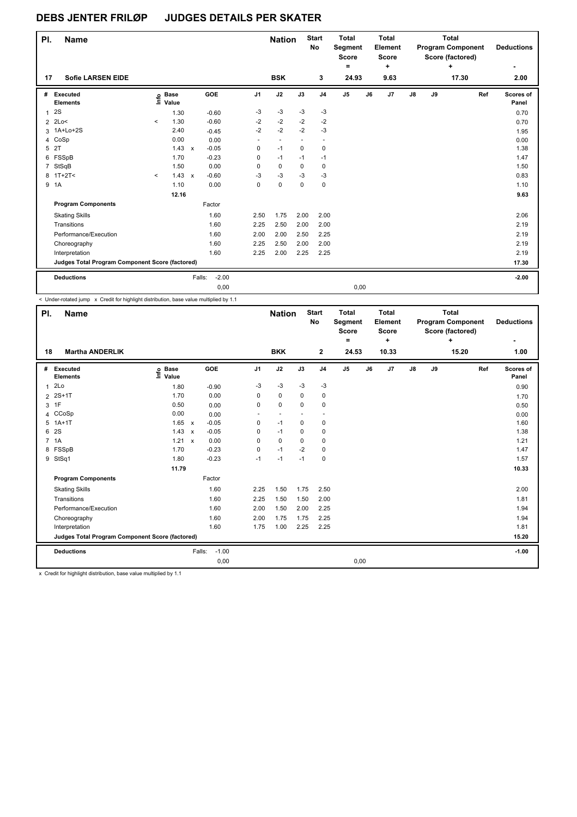| PI.            | <b>Name</b>                                     |         |                      |              |                   |                          | <b>Nation</b> |             | <b>Start</b><br>No | Total<br>Segment<br><b>Score</b><br>۰ |    | Total<br>Element<br><b>Score</b><br>÷ |               |    | Total<br><b>Program Component</b><br>Score (factored)<br>٠ |     | <b>Deductions</b><br>٠ |
|----------------|-------------------------------------------------|---------|----------------------|--------------|-------------------|--------------------------|---------------|-------------|--------------------|---------------------------------------|----|---------------------------------------|---------------|----|------------------------------------------------------------|-----|------------------------|
| 17             | <b>Sofie LARSEN EIDE</b>                        |         |                      |              |                   |                          | <b>BSK</b>    |             | 3                  | 24.93                                 |    | 9.63                                  |               |    | 17.30                                                      |     | 2.00                   |
| #              | Executed<br><b>Elements</b>                     | ١m      | <b>Base</b><br>Value |              | GOE               | J <sub>1</sub>           | J2            | J3          | J <sub>4</sub>     | J5                                    | J6 | J7                                    | $\mathsf{J}8$ | J9 |                                                            | Ref | Scores of<br>Panel     |
| $\mathbf{1}$   | 2S                                              |         | 1.30                 |              | $-0.60$           | $-3$                     | $-3$          | $-3$        | $-3$               |                                       |    |                                       |               |    |                                                            |     | 0.70                   |
| $\overline{2}$ | 2Lo<                                            | $\prec$ | 1.30                 |              | $-0.60$           | $-2$                     | $-2$          | $-2$        | $-2$               |                                       |    |                                       |               |    |                                                            |     | 0.70                   |
| 3              | 1A+Lo+2S                                        |         | 2.40                 |              | $-0.45$           | $-2$                     | $-2$          | $-2$        | $-3$               |                                       |    |                                       |               |    |                                                            |     | 1.95                   |
| 4              | CoSp                                            |         | 0.00                 |              | 0.00              | $\overline{\phantom{a}}$ |               |             |                    |                                       |    |                                       |               |    |                                                            |     | 0.00                   |
| 5              | 2T                                              |         | 1.43                 | $\mathsf{x}$ | $-0.05$           | 0                        | $-1$          | 0           | 0                  |                                       |    |                                       |               |    |                                                            |     | 1.38                   |
| 6              | FSSpB                                           |         | 1.70                 |              | $-0.23$           | 0                        | $-1$          | $-1$        | $-1$               |                                       |    |                                       |               |    |                                                            |     | 1.47                   |
| $\overline{7}$ | StSqB                                           |         | 1.50                 |              | 0.00              | 0                        | 0             | 0           | 0                  |                                       |    |                                       |               |    |                                                            |     | 1.50                   |
|                | $8$ 1T+2T<                                      | $\prec$ | 1.43                 | $\mathsf{x}$ | $-0.60$           | $-3$                     | $-3$          | $-3$        | $-3$               |                                       |    |                                       |               |    |                                                            |     | 0.83                   |
|                | 9 1A                                            |         | 1.10                 |              | 0.00              | 0                        | 0             | $\mathbf 0$ | 0                  |                                       |    |                                       |               |    |                                                            |     | 1.10                   |
|                |                                                 |         | 12.16                |              |                   |                          |               |             |                    |                                       |    |                                       |               |    |                                                            |     | 9.63                   |
|                | <b>Program Components</b>                       |         |                      |              | Factor            |                          |               |             |                    |                                       |    |                                       |               |    |                                                            |     |                        |
|                | <b>Skating Skills</b>                           |         |                      |              | 1.60              | 2.50                     | 1.75          | 2.00        | 2.00               |                                       |    |                                       |               |    |                                                            |     | 2.06                   |
|                | Transitions                                     |         |                      |              | 1.60              | 2.25                     | 2.50          | 2.00        | 2.00               |                                       |    |                                       |               |    |                                                            |     | 2.19                   |
|                | Performance/Execution                           |         |                      |              | 1.60              | 2.00                     | 2.00          | 2.50        | 2.25               |                                       |    |                                       |               |    |                                                            |     | 2.19                   |
|                | Choreography                                    |         |                      |              | 1.60              | 2.25                     | 2.50          | 2.00        | 2.00               |                                       |    |                                       |               |    |                                                            |     | 2.19                   |
|                | Interpretation                                  |         |                      |              | 1.60              | 2.25                     | 2.00          | 2.25        | 2.25               |                                       |    |                                       |               |    |                                                            |     | 2.19                   |
|                | Judges Total Program Component Score (factored) |         |                      |              |                   |                          |               |             |                    |                                       |    |                                       |               |    |                                                            |     | 17.30                  |
|                | <b>Deductions</b>                               |         |                      |              | $-2.00$<br>Falls: |                          |               |             |                    |                                       |    |                                       |               |    |                                                            |     | $-2.00$                |
|                |                                                 |         |                      |              | 0,00              |                          |               |             |                    | 0,00                                  |    |                                       |               |    |                                                            |     |                        |

< Under-rotated jump x Credit for highlight distribution, base value multiplied by 1.1

| PI.            | <b>Name</b>                                     |                            |                           |                   |                          | <b>Nation</b>            |             | <b>Start</b><br>No | <b>Total</b><br>Segment<br><b>Score</b><br>۰ |    | <b>Total</b><br>Element<br><b>Score</b><br>٠ |    |    | <b>Total</b><br><b>Program Component</b><br>Score (factored)<br>÷ |     | <b>Deductions</b>  |
|----------------|-------------------------------------------------|----------------------------|---------------------------|-------------------|--------------------------|--------------------------|-------------|--------------------|----------------------------------------------|----|----------------------------------------------|----|----|-------------------------------------------------------------------|-----|--------------------|
| 18             | <b>Martha ANDERLIK</b>                          |                            |                           |                   |                          | <b>BKK</b>               |             | $\mathbf{2}$       | 24.53                                        |    | 10.33                                        |    |    | 15.20                                                             |     | 1.00               |
| #              | Executed<br><b>Elements</b>                     | e Base<br>E Value<br>Value |                           | GOE               | J <sub>1</sub>           | J2                       | J3          | J <sub>4</sub>     | J5                                           | J6 | J7                                           | J8 | J9 |                                                                   | Ref | Scores of<br>Panel |
| $\mathbf{1}$   | 2Lo                                             | 1.80                       |                           | $-0.90$           | $-3$                     | $-3$                     | $-3$        | $-3$               |                                              |    |                                              |    |    |                                                                   |     | 0.90               |
| $\overline{2}$ | $2S+1T$                                         | 1.70                       |                           | 0.00              | 0                        | $\mathbf 0$              | $\Omega$    | 0                  |                                              |    |                                              |    |    |                                                                   |     | 1.70               |
| 3              | 1F                                              | 0.50                       |                           | 0.00              | 0                        | $\mathbf 0$              | $\mathbf 0$ | $\mathbf 0$        |                                              |    |                                              |    |    |                                                                   |     | 0.50               |
| 4              | CCoSp                                           | 0.00                       |                           | 0.00              | $\overline{\phantom{a}}$ | $\overline{\phantom{a}}$ |             | ٠                  |                                              |    |                                              |    |    |                                                                   |     | 0.00               |
| 5              | $1A+1T$                                         | 1.65 x                     |                           | $-0.05$           | 0                        | $-1$                     | $\mathbf 0$ | $\mathbf 0$        |                                              |    |                                              |    |    |                                                                   |     | 1.60               |
| 6              | 2S                                              | 1.43                       | $\boldsymbol{\mathsf{x}}$ | $-0.05$           | 0                        | $-1$                     | 0           | 0                  |                                              |    |                                              |    |    |                                                                   |     | 1.38               |
| $\overline{7}$ | 1A                                              | 1.21                       | $\mathsf{x}$              | 0.00              | 0                        | $\mathbf 0$              | $\mathbf 0$ | 0                  |                                              |    |                                              |    |    |                                                                   |     | 1.21               |
|                | 8 FSSpB                                         | 1.70                       |                           | $-0.23$           | 0                        | $-1$                     | $-2$        | 0                  |                                              |    |                                              |    |    |                                                                   |     | 1.47               |
|                | 9 StSq1                                         | 1.80                       |                           | $-0.23$           | $-1$                     | $-1$                     | $-1$        | $\mathbf 0$        |                                              |    |                                              |    |    |                                                                   |     | 1.57               |
|                |                                                 | 11.79                      |                           |                   |                          |                          |             |                    |                                              |    |                                              |    |    |                                                                   |     | 10.33              |
|                | <b>Program Components</b>                       |                            |                           | Factor            |                          |                          |             |                    |                                              |    |                                              |    |    |                                                                   |     |                    |
|                | <b>Skating Skills</b>                           |                            |                           | 1.60              | 2.25                     | 1.50                     | 1.75        | 2.50               |                                              |    |                                              |    |    |                                                                   |     | 2.00               |
|                | Transitions                                     |                            |                           | 1.60              | 2.25                     | 1.50                     | 1.50        | 2.00               |                                              |    |                                              |    |    |                                                                   |     | 1.81               |
|                | Performance/Execution                           |                            |                           | 1.60              | 2.00                     | 1.50                     | 2.00        | 2.25               |                                              |    |                                              |    |    |                                                                   |     | 1.94               |
|                | Choreography                                    |                            |                           | 1.60              | 2.00                     | 1.75                     | 1.75        | 2.25               |                                              |    |                                              |    |    |                                                                   |     | 1.94               |
|                | Interpretation                                  |                            |                           | 1.60              | 1.75                     | 1.00                     | 2.25        | 2.25               |                                              |    |                                              |    |    |                                                                   |     | 1.81               |
|                | Judges Total Program Component Score (factored) |                            |                           |                   |                          |                          |             |                    |                                              |    |                                              |    |    |                                                                   |     | 15.20              |
|                | <b>Deductions</b>                               |                            |                           | $-1.00$<br>Falls: |                          |                          |             |                    |                                              |    |                                              |    |    |                                                                   |     | $-1.00$            |
|                |                                                 |                            |                           | 0,00              |                          |                          |             |                    | 0,00                                         |    |                                              |    |    |                                                                   |     |                    |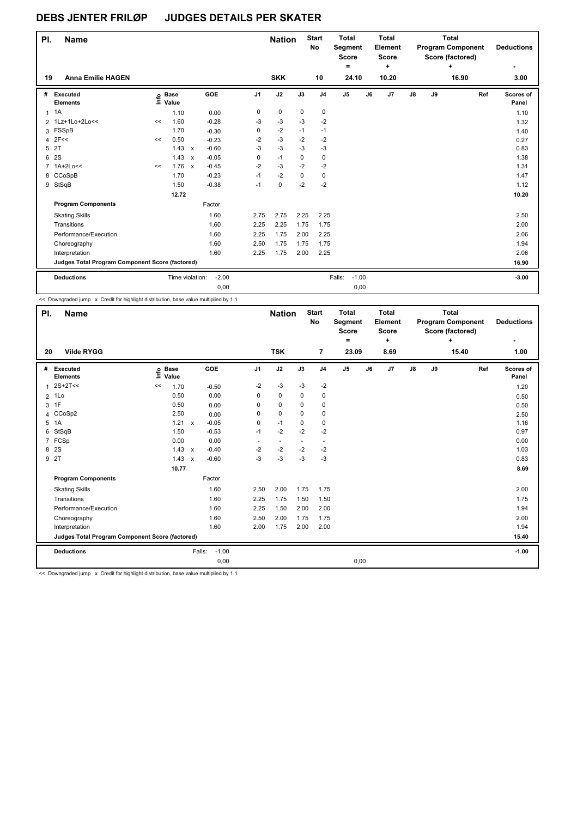| PI.          | <b>Name</b>                                     |    |                      |                           |         |                | <b>Nation</b> |             | <b>Start</b><br>No | <b>Total</b><br><b>Score</b> | Segment |    | <b>Total</b><br>Element<br><b>Score</b> |               |    | <b>Total</b><br><b>Program Component</b><br>Score (factored) |     | <b>Deductions</b>  |
|--------------|-------------------------------------------------|----|----------------------|---------------------------|---------|----------------|---------------|-------------|--------------------|------------------------------|---------|----|-----------------------------------------|---------------|----|--------------------------------------------------------------|-----|--------------------|
|              |                                                 |    |                      |                           |         |                |               |             |                    |                              | $=$     |    | ÷                                       |               |    | ٠                                                            |     | ۰                  |
| 19           | <b>Anna Emilie HAGEN</b>                        |    |                      |                           |         |                | <b>SKK</b>    |             | 10                 |                              | 24.10   |    | 10.20                                   |               |    | 16.90                                                        |     | 3.00               |
| #            | Executed<br><b>Elements</b>                     | ١m | <b>Base</b><br>Value |                           | GOE     | J <sub>1</sub> | J2            | J3          | J <sub>4</sub>     | J <sub>5</sub>               |         | J6 | J <sub>7</sub>                          | $\mathsf{J}8$ | J9 |                                                              | Ref | Scores of<br>Panel |
| $\mathbf{1}$ | 1A                                              |    | 1.10                 |                           | 0.00    | 0              | 0             | 0           | 0                  |                              |         |    |                                         |               |    |                                                              |     | 1.10               |
|              | 2 1Lz+1Lo+2Lo<<                                 | << | 1.60                 |                           | $-0.28$ | -3             | $-3$          | -3          | $-2$               |                              |         |    |                                         |               |    |                                                              |     | 1.32               |
|              | 3 FSSpB                                         |    | 1.70                 |                           | $-0.30$ | 0              | $-2$          | $-1$        | $-1$               |                              |         |    |                                         |               |    |                                                              |     | 1.40               |
| 4            | 2F<<                                            | << | 0.50                 |                           | $-0.23$ | $-2$           | $-3$          | $-2$        | $-2$               |                              |         |    |                                         |               |    |                                                              |     | 0.27               |
| 5            | 2T                                              |    | 1.43                 | $\boldsymbol{\mathsf{x}}$ | $-0.60$ | $-3$           | $-3$          | $-3$        | $-3$               |                              |         |    |                                         |               |    |                                                              |     | 0.83               |
| 6            | 2S                                              |    | 1.43                 | $\mathbf{x}$              | $-0.05$ | 0              | $-1$          | $\mathbf 0$ | 0                  |                              |         |    |                                         |               |    |                                                              |     | 1.38               |
| 7            | $1A+2Lo<<$                                      | << | 1.76                 | $\mathsf{x}$              | $-0.45$ | $-2$           | $-3$          | $-2$        | $-2$               |                              |         |    |                                         |               |    |                                                              |     | 1.31               |
| 8            | CCoSpB                                          |    | 1.70                 |                           | $-0.23$ | $-1$           | $-2$          | 0           | 0                  |                              |         |    |                                         |               |    |                                                              |     | 1.47               |
| 9            | StSqB                                           |    | 1.50                 |                           | $-0.38$ | $-1$           | 0             | $-2$        | $-2$               |                              |         |    |                                         |               |    |                                                              |     | 1.12               |
|              |                                                 |    | 12.72                |                           |         |                |               |             |                    |                              |         |    |                                         |               |    |                                                              |     | 10.20              |
|              | <b>Program Components</b>                       |    |                      |                           | Factor  |                |               |             |                    |                              |         |    |                                         |               |    |                                                              |     |                    |
|              | <b>Skating Skills</b>                           |    |                      |                           | 1.60    | 2.75           | 2.75          | 2.25        | 2.25               |                              |         |    |                                         |               |    |                                                              |     | 2.50               |
|              | Transitions                                     |    |                      |                           | 1.60    | 2.25           | 2.25          | 1.75        | 1.75               |                              |         |    |                                         |               |    |                                                              |     | 2.00               |
|              | Performance/Execution                           |    |                      |                           | 1.60    | 2.25           | 1.75          | 2.00        | 2.25               |                              |         |    |                                         |               |    |                                                              |     | 2.06               |
|              | Choreography                                    |    |                      |                           | 1.60    | 2.50           | 1.75          | 1.75        | 1.75               |                              |         |    |                                         |               |    |                                                              |     | 1.94               |
|              | Interpretation                                  |    |                      |                           | 1.60    | 2.25           | 1.75          | 2.00        | 2.25               |                              |         |    |                                         |               |    |                                                              |     | 2.06               |
|              | Judges Total Program Component Score (factored) |    |                      |                           |         |                |               |             |                    |                              |         |    |                                         |               |    |                                                              |     | 16.90              |
|              | <b>Deductions</b>                               |    | Time violation:      |                           | $-2.00$ |                |               |             |                    | Falls:                       | $-1.00$ |    |                                         |               |    |                                                              |     | $-3.00$            |
|              |                                                 |    |                      |                           | 0,00    |                |               |             |                    |                              | 0,00    |    |                                         |               |    |                                                              |     |                    |

<< Downgraded jump x Credit for highlight distribution, base value multiplied by 1.1

| PI.            | <b>Name</b>                                     |                            |                           |                   |                          | <b>Nation</b> |          | <b>Start</b><br>No       | <b>Total</b><br>Segment<br><b>Score</b><br>۰ |    | <b>Total</b><br>Element<br><b>Score</b><br>٠ |               |    | <b>Total</b><br><b>Program Component</b><br>Score (factored)<br>÷ |     | <b>Deductions</b>  |
|----------------|-------------------------------------------------|----------------------------|---------------------------|-------------------|--------------------------|---------------|----------|--------------------------|----------------------------------------------|----|----------------------------------------------|---------------|----|-------------------------------------------------------------------|-----|--------------------|
| 20             | <b>Vilde RYGG</b>                               |                            |                           |                   |                          | <b>TSK</b>    |          | 7                        | 23.09                                        |    | 8.69                                         |               |    | 15.40                                                             |     | 1.00               |
| #              | <b>Executed</b><br><b>Elements</b>              | e Base<br>E Value<br>Value |                           | GOE               | J <sub>1</sub>           | J2            | J3       | J <sub>4</sub>           | J <sub>5</sub>                               | J6 | J7                                           | $\mathsf{J}8$ | J9 |                                                                   | Ref | Scores of<br>Panel |
| $\mathbf{1}$   | $2S+2T<<$                                       | 1.70<br><<                 |                           | $-0.50$           | $-2$                     | $-3$          | $-3$     | $-2$                     |                                              |    |                                              |               |    |                                                                   |     | 1.20               |
| $\overline{2}$ | 1Lo                                             | 0.50                       |                           | 0.00              | 0                        | $\mathbf 0$   | $\Omega$ | $\mathbf 0$              |                                              |    |                                              |               |    |                                                                   |     | 0.50               |
| 3              | 1F                                              | 0.50                       |                           | 0.00              | 0                        | 0             | 0        | 0                        |                                              |    |                                              |               |    |                                                                   |     | 0.50               |
| 4              | CCoSp2                                          | 2.50                       |                           | 0.00              | 0                        | $\mathbf 0$   | 0        | $\mathbf 0$              |                                              |    |                                              |               |    |                                                                   |     | 2.50               |
| 5              | 1A                                              | 1.21                       | $\mathsf{x}$              | $-0.05$           | 0                        | $-1$          | 0        | $\mathbf 0$              |                                              |    |                                              |               |    |                                                                   |     | 1.16               |
| 6              | StSqB                                           | 1.50                       |                           | $-0.53$           | $-1$                     | $-2$          | $-2$     | $-2$                     |                                              |    |                                              |               |    |                                                                   |     | 0.97               |
| $\overline{7}$ | FCSp                                            | 0.00                       |                           | 0.00              | $\overline{\phantom{a}}$ |               |          | $\overline{\phantom{a}}$ |                                              |    |                                              |               |    |                                                                   |     | 0.00               |
| 8              | 2S                                              | 1.43                       | $\mathsf{x}$              | $-0.40$           | $-2$                     | $-2$          | $-2$     | $-2$                     |                                              |    |                                              |               |    |                                                                   |     | 1.03               |
|                | 9 2T                                            | 1.43                       | $\boldsymbol{\mathsf{x}}$ | $-0.60$           | $-3$                     | $-3$          | $-3$     | $-3$                     |                                              |    |                                              |               |    |                                                                   |     | 0.83               |
|                |                                                 | 10.77                      |                           |                   |                          |               |          |                          |                                              |    |                                              |               |    |                                                                   |     | 8.69               |
|                | <b>Program Components</b>                       |                            |                           | Factor            |                          |               |          |                          |                                              |    |                                              |               |    |                                                                   |     |                    |
|                | <b>Skating Skills</b>                           |                            |                           | 1.60              | 2.50                     | 2.00          | 1.75     | 1.75                     |                                              |    |                                              |               |    |                                                                   |     | 2.00               |
|                | Transitions                                     |                            |                           | 1.60              | 2.25                     | 1.75          | 1.50     | 1.50                     |                                              |    |                                              |               |    |                                                                   |     | 1.75               |
|                | Performance/Execution                           |                            |                           | 1.60              | 2.25                     | 1.50          | 2.00     | 2.00                     |                                              |    |                                              |               |    |                                                                   |     | 1.94               |
|                | Choreography                                    |                            |                           | 1.60              | 2.50                     | 2.00          | 1.75     | 1.75                     |                                              |    |                                              |               |    |                                                                   |     | 2.00               |
|                | Interpretation                                  |                            |                           | 1.60              | 2.00                     | 1.75          | 2.00     | 2.00                     |                                              |    |                                              |               |    |                                                                   |     | 1.94               |
|                | Judges Total Program Component Score (factored) |                            |                           |                   |                          |               |          |                          |                                              |    |                                              |               |    |                                                                   |     | 15.40              |
|                | <b>Deductions</b>                               |                            |                           | $-1.00$<br>Falls: |                          |               |          |                          |                                              |    |                                              |               |    |                                                                   |     | $-1.00$            |
|                |                                                 |                            |                           | 0,00              |                          |               |          |                          | 0,00                                         |    |                                              |               |    |                                                                   |     |                    |

<< Downgraded jump x Credit for highlight distribution, base value multiplied by 1.1